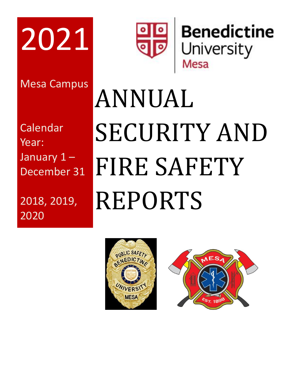

Mesa Campus

Calendar Year: January 1 – December 31

2018, 2019, 2020



# ANNUAL SECURITY AND FIRE SAFETY REPORTS



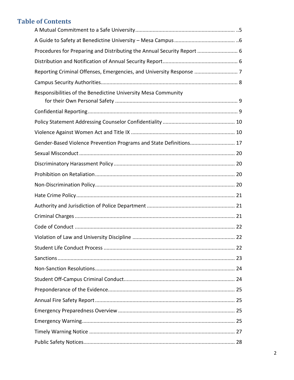# **Table of Contents**

| Procedures for Preparing and Distributing the Annual Security Report  6 |
|-------------------------------------------------------------------------|
|                                                                         |
| Reporting Criminal Offenses, Emergencies, and University Response  7    |
|                                                                         |
| Responsibilities of the Benedictine University Mesa Community           |
|                                                                         |
|                                                                         |
|                                                                         |
| Gender-Based Violence Prevention Programs and State Definitions 17      |
|                                                                         |
|                                                                         |
|                                                                         |
|                                                                         |
|                                                                         |
|                                                                         |
|                                                                         |
|                                                                         |
|                                                                         |
|                                                                         |
|                                                                         |
|                                                                         |
|                                                                         |
|                                                                         |
|                                                                         |
|                                                                         |
|                                                                         |
|                                                                         |
|                                                                         |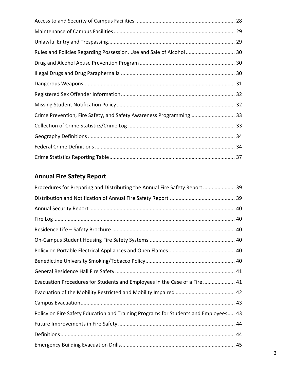| Rules and Policies Regarding Possession, Use and Sale of Alcohol  30 |  |
|----------------------------------------------------------------------|--|
|                                                                      |  |
|                                                                      |  |
|                                                                      |  |
|                                                                      |  |
|                                                                      |  |
| Crime Prevention, Fire Safety, and Safety Awareness Programming  33  |  |
|                                                                      |  |
|                                                                      |  |
|                                                                      |  |
|                                                                      |  |

# **Annual Fire Safety Report**

| Procedures for Preparing and Distributing the Annual Fire Safety Report  39         |  |
|-------------------------------------------------------------------------------------|--|
|                                                                                     |  |
|                                                                                     |  |
|                                                                                     |  |
|                                                                                     |  |
|                                                                                     |  |
|                                                                                     |  |
|                                                                                     |  |
|                                                                                     |  |
| Evacuation Procedures for Students and Employees in the Case of a Fire  41          |  |
|                                                                                     |  |
|                                                                                     |  |
| Policy on Fire Safety Education and Training Programs for Students and Employees 43 |  |
|                                                                                     |  |
|                                                                                     |  |
|                                                                                     |  |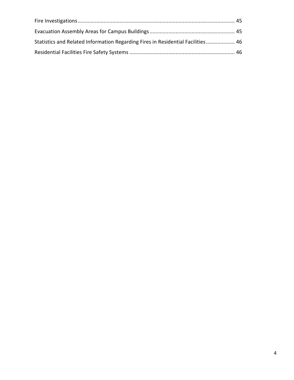| Statistics and Related Information Regarding Fires in Residential Facilities 46 |  |
|---------------------------------------------------------------------------------|--|
|                                                                                 |  |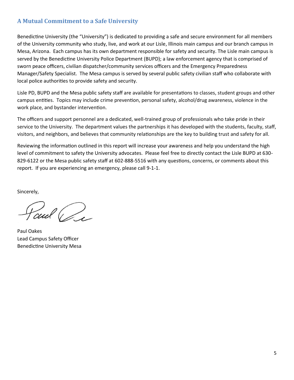#### **A Mutual Commitment to a Safe University**

Benedictine University (the "University") is dedicated to providing a safe and secure environment for all members of the University community who study, live, and work at our Lisle, Illinois main campus and our branch campus in Mesa, Arizona. Each campus has its own department responsible for safety and security. The Lisle main campus is served by the Benedictine University Police Department (BUPD); a law enforcement agency that is comprised of sworn peace officers, civilian dispatcher/community services officers and the Emergency Preparedness Manager/Safety Specialist. The Mesa campus is served by several public safety civilian staff who collaborate with local police authorities to provide safety and security.

Lisle PD, BUPD and the Mesa public safety staff are available for presentations to classes, student groups and other campus entities. Topics may include crime prevention, personal safety, alcohol/drug awareness, violence in the work place, and bystander intervention.

The officers and support personnel are a dedicated, well-trained group of professionals who take pride in their service to the University. The department values the partnerships it has developed with the students, faculty, staff, visitors, and neighbors, and believes that community relationships are the key to building trust and safety for all.

Reviewing the information outlined in this report will increase your awareness and help you understand the high level of commitment to safety the University advocates. Please feel free to directly contact the Lisle BUPD at 630- 829-6122 or the Mesa public safety staff at 602-888-5516 with any questions, concerns, or comments about this report. If you are experiencing an emergency, please call 9-1-1.

Sincerely,

Paul P

Paul Oakes Lead Campus Safety Officer Benedictine University Mesa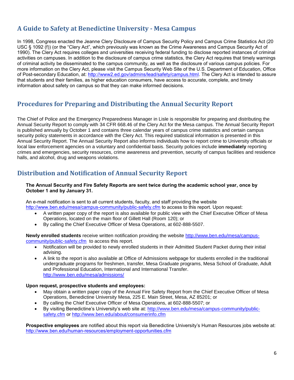# **A Guide to Safety at Benedictine University - Mesa Campus**

In 1998, Congress enacted the Jeanne Clery Disclosure of Campus Security Policy and Campus Crime Statistics Act (20 USC § 1092 (f)) (or the "Clery Act", which previously was known as the Crime Awareness and Campus Security Act of 1990). The Clery Act requires colleges and universities receiving federal funding to disclose reported instances of criminal activities on campuses. In addition to the disclosure of campus crime statistics, the Clery Act requires that timely warnings of criminal activity be disseminated to the campus community, as well as the disclosure of various campus policies. For more information on the Clery Act, please visit the Campus Security Web Site of the U.S. Department of Education, Office of Post-secondary Education, at: [http://www2.ed.gov/admins/lead/safety/campus.html.](http://www2.ed.gov/admins/lead/safety/campus.html) The Clery Act is intended to assure that students and their families, as higher education consumers, have access to accurate, complete, and timely information about safety on campus so that they can make informed decisions.

# **Procedures for Preparing and Distributing the Annual Security Report**

The Chief of Police and the Emergency Preparedness Manager in Lisle is responsible for preparing and distributing the Annual Security Report to comply with 34 CFR 668.46 of the Clery Act for the Mesa campus. The Annual Security Report is published annually by October 1 and contains three calendar years of campus crime statistics and certain campus security policy statements in accordance with the Clery Act. This required statistical information is presented in this Annual Security Report. The Annual Security Report also informs individuals how to report crime to University officials or local law enforcement agencies on a voluntary and confidential basis. Security policies include **immediately** reporting crimes and emergencies, security resources, crime awareness and prevention, security of campus facilities and residence halls, and alcohol, drug and weapons violations.

#### **Distribution and Notification of Annual Security Report**

#### **The Annual Security and Fire Safety Reports are sent twice during the academic school year, once by October 1 and by January 31.**

An e-mail notification is sent to all current students, faculty, and staff providing the website <http://www.ben.edu/mesa/campus-community/public-safety.cfm> to access to this report. Upon request:

- A written paper copy of the report is also available for public view with the Chief Executive Officer of Mesa Operations, located on the main floor of Gillett Hall (Room 120); or
- By calling the Chief Executive Officer of Mesa Operations, at 602-888-5507.

**Newly enrolled students** receive written notification providing the website [http://www.ben.edu/mesa/campus](http://www.ben.edu/mesa/campus-community/public-safety.cfm)[community/public-safety.cfm](http://www.ben.edu/mesa/campus-community/public-safety.cfm) to access this report.

- Notification will be provided to newly enrolled students in their Admitted Student Packet during their initial advising.
- A link to the report is also available at Office of Admissions webpage for students enrolled in the traditional undergraduate programs for freshmen, transfer, Mesa Graduate programs, Mesa School of Graduate, Adult and Professional Education, International and International Transfer. <http://www.ben.edu/mesa/admissions/>

#### **Upon request, prospective students and employees:**

- May obtain a written paper copy of the Annual Fire Safety Report from the Chief Executive Officer of Mesa Operations, Benedictine University Mesa, 225 E. Main Street, Mesa, AZ 85201; or
- By calling the Chief Executive Officer of Mesa Operations, at 602-888-5507; or
- By visiting Benedictine's University's web site at: [http://www.ben.edu/mesa/campus-community/public](http://www.ben.edu/mesa/campus-community/public-safety.cfm)[safety.cfm](http://www.ben.edu/mesa/campus-community/public-safety.cfm) or <http://www.ben.edu/about/consumerinfo.cfm>

**Prospective employees** are notified about this report via Benedictine University's Human Resources jobs website at: <http://www.ben.edu/human-resources/employment-opportunities.cfm>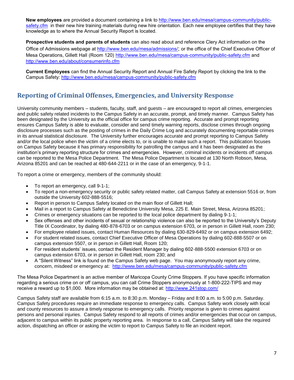**New employees** are provided a document containing a link to [http://www.ben.edu/mesa/campus-community/public](http://www.ben.edu/mesa/campus-community/public-safety.cfm)[safety.cfm](http://www.ben.edu/mesa/campus-community/public-safety.cfm) in their new hire training materials during new hire orientation. Each new employee certifies that they have knowledge as to where the Annual Security Report is located.

**Prospective students and parents of students** can also read about and reference Clery Act information on the Office of Admissions webpage at<http://www.ben.edu/mesa/admissions/>; or the office of the Chief Executive Officer of Mesa Operations, Gillett Hall (Room 120) <http://www.ben.edu/mesa/campus-community/public-safety.cfm> and <http://www.ben.edu/about/consumerinfo.cfm>

**Current Employees** can find the Annual Security Report and Annual Fire Safety Report by clicking the link to the Campus Safety:<http://www.ben.edu/mesa/campus-community/public-safety.cfm>

# **Reporting of Criminal Offenses, Emergencies, and University Response**

University community members – students, faculty, staff, and guests – are encouraged to report all crimes, emergencies and public safety related incidents to the Campus Safety in an accurate, prompt, and timely manner. Campus Safety has been designated by the University as the official office for campus crime reporting. Accurate and prompt reporting ensures Campus Safety is able to evaluate, consider and send timely warning reports, disclose crimes through ongoing disclosure processes such as the posting of crimes in the Daily Crime Log and accurately documenting reportable crimes in its annual statistical disclosure. The University further encourages accurate and prompt reporting to Campus Safety and/or the local police when the victim of a crime elects to, or is unable to make such a report. This publication focuses on Campus Safety because it has primary responsibility for patrolling the campus and it has been designated as the institution's primary reporting structure for crimes and emergencies. However, criminal incidents or incidents off campus can be reported to the Mesa Police Department. The Mesa Police Department is located at 130 North Robson, Mesa, Arizona 85201 and can be reached at 480-644-2211 or in the case of an emergency, 9-1-1.

To report a crime or emergency, members of the community should:

- To report an emergency, call 9-1-1;
- To report a non-emergency security or public safety related matter, call Campus Safety at extension 5516 or, from outside the University 602-888-5516;
- Report in person to Campus Safety located on the main floor of Gillett Hall;
- Mail in a report to Campus Safety at Benedictine University Mesa, 225 E. Main Street, Mesa, Arizona 85201;
- Crimes or emergency situations can be reported to the local police department by dialing 9-1-1;
- Sex offenses and other incidents of sexual or relationship violence can also be reported to the University's Deputy Title IX Coordinator, by dialing 480-878-6703 or on campus extension 6703, or in person in Gillett Hall, room 230;
- For employee related issues, contact Human Resources by dialing 630-829-6492 or on campus extension 6492;
- For student related issues, contact Chief Executive Officer of Mesa Operations by dialing 602-888-5507 or on campus extension 5507, or in person in Gillett Hall, Room 120;
- For resident students' issues, contact the Resident Manager by dialing 602-888-5500 extension 6703 or on campus extension 6703, or in person in Gillett Hall, room 230; and
- A "Silent Witness" link is found on the Campus Safety web page. You may anonymously report any crime, concern, misdeed or emergency at: <http://www.ben.edu/mesa/campus-community/public-safety.cfm>

The Mesa Police Department is an active member of Maricopa County Crime Stoppers. If you have specific information regarding a serious crime on or off campus, you can call Crime Stoppers anonymously at 1-800-222-TIPS and may receive a reward up to \$1,000. More information may be obtained at: <http://www.241stop.com/>

Campus Safety staff are available from 6:15 a.m. to 8:30 p.m. Monday – Friday and 8:00 a.m. to 5:00 p.m. Saturday. Campus Safety procedures require an immediate response to emergency calls. Campus Safety work closely with local and county resources to assure a timely response to emergency calls. Priority response is given to crimes against persons and personal injuries. Campus Safety respond to all reports of crimes and/or emergencies that occur on campus, adjacent to campus within its public property reporting area. In response to a call, Campus Safety will take the required action, dispatching an officer or asking the victim to report to Campus Safety to file an incident report.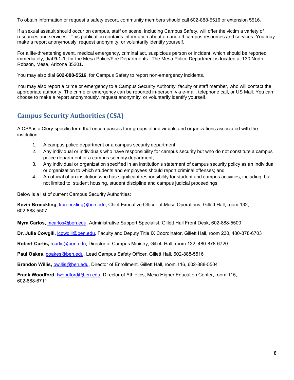To obtain information or request a safety escort, community members should call 602-888-5516 or extension 5516.

If a sexual assault should occur on campus, staff on scene, including Campus Safety, will offer the victim a variety of resources and services. This publication contains information about on and off campus resources and services. You may make a report anonymously, request anonymity, or voluntarily identify yourself.

For a life-threatening event, medical emergency, criminal act, suspicious person or incident, which should be reported immediately, dial **9-1-1**, for the Mesa Police/Fire Departments. The Mesa Police Department is located at 130 North Robson, Mesa, Arizona 85201.

You may also dial **602-888-5516**, for Campus Safety to report non-emergency incidents.

You may also report a crime or emergency to a Campus Security Authority, faculty or staff member, who will contact the appropriate authority. The crime or emergency can be reported in-person, via e-mail, telephone call, or US Mail. You can choose to make a report anonymously, request anonymity, or voluntarily identify yourself.

# **Campus Security Authorities (CSA)**

A CSA is a Clery-specific term that encompasses four groups of individuals and organizations associated with the institution.

- 1. A campus police department or a campus security department;
- 2. Any individual or individuals who have responsibility for campus security but who do not constitute a campus police department or a campus security department;
- 3. Any individual or organization specified in an institution's statement of campus security policy as an individual or organization to which students and employees should report criminal offenses; and
- 4. An official of an institution who has significant responsibility for student and campus activities, including, but not limited to, student housing, student discipline and campus judicial proceedings.

Below is a list of current Campus Security Authorities:

**Kevin Broeckling**, [kbroeckling@ben.edu,](mailto:kbroeckling@ben.edu) Chief Executive Officer of Mesa Operations, Gillett Hall, room 132, 602-888-5507

**Myra Carlos,** [mcarlos@ben.edu,](mailto:mcarlos@ben.edu) Administrative Support Specialist, Gillett Hall Front Desk, 602-888-5500

**Dr. Julie Cowgill,** [jcowgill@ben.edu,](mailto:jcowgill@ben.edu) Faculty and Deputy Title IX Coordinator, Gillett Hall, room 230, 480-878-6703

**Robert Curtis,** [rcurtis@ben.edu,](mailto:rcurtis@ben.edu) Director of Campus Ministry, Gillett Hall, room 132, 480-878-6720

**Paul Oakes**, [poakes@ben.edu,](mailto:poakes@ben.edu) Lead Campus Safety Officer, Gillett Hall, 602-888-5516

**Brandon Willis,** [bwillis@ben.edu,](mailto:bwillis@ben.edu) Director of Enrollment, Gillett Hall, room 116, 602-888-5504

**Frank Woodford**, [fwoodford@ben.edu,](mailto:fwoodford@ben.edu) Director of Athletics, Mesa Higher Education Center, room 115, 602-888-6711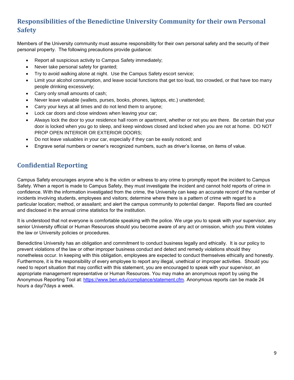# **Responsibilities of the Benedictine University Community for their own Personal Safety**

Members of the University community must assume responsibility for their own personal safety and the security of their personal property. The following precautions provide guidance:

- Report all suspicious activity to Campus Safety immediately;
- Never take personal safety for granted;
- Try to avoid walking alone at night. Use the Campus Safety escort service;
- Limit your alcohol consumption, and leave social functions that get too loud, too crowded, or that have too many people drinking excessively;
- Carry only small amounts of cash;
- Never leave valuable (wallets, purses, books, phones, laptops, etc.) unattended;
- Carry your keys at all times and do not lend them to anyone;
- Lock car doors and close windows when leaving your car;
- Always lock the door to your residence hall room or apartment, whether or not you are there. Be certain that your door is locked when you go to sleep, and keep windows closed and locked when you are not at home. DO NOT PROP OPEN INTERIOR OR EXTERIOR DOORS;
- Do not leave valuables in your car, especially if they can be easily noticed; and
- Engrave serial numbers or owner's recognized numbers, such as driver's license, on items of value.

#### **Confidential Reporting**

Campus Safety encourages anyone who is the victim or witness to any crime to promptly report the incident to Campus Safety. When a report is made to Campus Safety, they must investigate the incident and cannot hold reports of crime in confidence. With the information investigated from the crime, the University can keep an accurate record of the number of incidents involving students, employees and visitors; determine where there is a pattern of crime with regard to a particular location; method, or assailant; and alert the campus community to potential danger. Reports filed are counted and disclosed in the annual crime statistics for the institution.

It is understood that not everyone is comfortable speaking with the police. We urge you to speak with your supervisor, any senior University official or Human Resources should you become aware of any act or omission, which you think violates the law or University policies or procedures.

Benedictine University has an obligation and commitment to conduct business legally and ethically. It is our policy to prevent violations of the law or other improper business conduct and detect and remedy violations should they nonetheless occur. In keeping with this obligation, employees are expected to conduct themselves ethically and honestly. Furthermore, it is the responsibility of every employee to report any illegal, unethical or improper activities. Should you need to report situation that may conflict with this statement, you are encouraged to speak with your supervisor, an appropriate management representative or Human Resources. You may make an anonymous report by using the Anonymous Reporting Tool at: [https://www.ben.edu/compliance/statement.cfm.](https://www.ben.edu/compliance/statement.cfm) Anonymous reports can be made 24 hours a day/7days a week.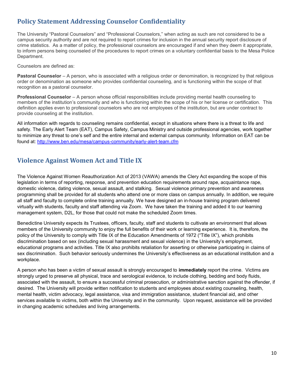# **Policy Statement Addressing Counselor Confidentiality**

The University "Pastoral Counselors" and "Professional Counselors," when acting as such are not considered to be a campus security authority and are not required to report crimes for inclusion in the annual security report disclosure of crime statistics. As a matter of policy, the professional counselors are encouraged if and when they deem it appropriate, to inform persons being counseled of the procedures to report crimes on a voluntary confidential basis to the Mesa Police Department.

Counselors are defined as:

**Pastoral Counselor** – A person, who is associated with a religious order or denomination, is recognized by that religious order or denomination as someone who provides confidential counseling, and is functioning within the scope of that recognition as a pastoral counselor.

**Professional Counselor** – A person whose official responsibilities include providing mental health counseling to members of the institution's community and who is functioning within the scope of his or her license or certification. This definition applies even to professional counselors who are not employees of the institution, but are under contract to provide counseling at the institution.

All information with regards to counseling remains confidential, except in situations where there is a threat to life and safety. The Early Alert Team (EAT), Campus Safety, Campus Ministry and outside professional agencies, work together to minimize any threat to one's self and the entire internal and external campus community. Information on EAT can be found at: <http://www.ben.edu/mesa/campus-community/early-alert-team.cfm>

# **Violence Against Women Act and Title IX**

The Violence Against Women Reauthorization Act of 2013 (VAWA) amends the Clery Act expanding the scope of this legislation in terms of reporting, response, and prevention education requirements around rape, acquaintance rape, domestic violence, dating violence, sexual assault, and stalking. Sexual violence primary prevention and awareness programming shall be provided for all students who attend one or more class on campus annually. In addition, we require all staff and faculty to complete online training annually. We have designed an in-house training program delivered virtually with students, faculty and staff attending via Zoom. We have taken the training and added it to our learning management system, D2L, for those that could not make the scheduled Zoom times.

Benedictine University expects its Trustees, officers, faculty, staff and students to cultivate an environment that allows members of the University community to enjoy the full benefits of their work or learning experience. It is, therefore, the policy of the University to comply with Title IX of the Education Amendments of 1972 ("Title IX"), which prohibits discrimination based on sex (including sexual harassment and sexual violence) in the University's employment, educational programs and activities. Title IX also prohibits retaliation for asserting or otherwise participating in claims of sex discrimination. Such behavior seriously undermines the University's effectiveness as an educational institution and a workplace.

A person who has been a victim of sexual assault is strongly encouraged to **immediately** report the crime. Victims are strongly urged to preserve all physical, trace and serological evidence, to include clothing, bedding and body fluids, associated with the assault, to ensure a successful criminal prosecution, or administrative sanction against the offender, if desired. The University will provide written notification to students and employees about existing counseling, health, mental health, victim advocacy, legal assistance, visa and immigration assistance, student financial aid, and other services available to victims, both within the University and in the community. Upon request, assistance will be provided in changing academic schedules and living arrangements.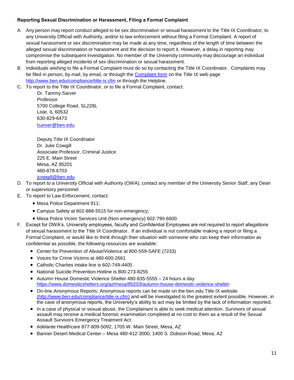#### **Reporting Sexual Discrimination or Harassment, Filing a Formal Complaint**

- A. Any person may report conduct alleged to be sex discrimination or sexual harassment to the Title IX Coordinator, to any University Official with Authority, and/or to law enforcement without filing a Formal Complaint. A report of sexual harassment or sex discrimination may be made at any time, regardless of the length of time between the alleged sexual discrimination or harassment and the decision to report it. However, a delay in reporting may compromise the subsequent investigation. No member of the University community may discourage an individual from reporting alleged incidents of sex discrimination or sexual harassment.
- B. Individuals wishing to file a Formal Complaint must do so by contacting the Title IX Coordinator. Complaints may be filed in person, by mail, by email, or through the [Complaint form](https://forms.office.com/Pages/ResponsePage.aspx?id=gRH0uhBKDU-8xiSs06vky9Tg9ldoyfZKqBpBLvL12M9UNzdISElZM1ZJMVM1TEQ1OERWQkFHR1JCNC4u) on the Title IX web page <http://www.ben.edu/compliance/title-ix.cfm> or through the Helpline.
- C. To report to the Title IX Coordinator, or to file a Formal Complaint, contact:

Dr. Tammy Sarver Professor 5700 College Road, SL228L Lisle, IL 60532 630-829-6473 [tsarver@ben.edu](mailto:tsarver@ben.edu)

Deputy Title IX Coordinator Dr. Julie Cowgill Associate Professor, Criminal Justice 225 E. Main Street Mesa, AZ 85201 480-878-6703 [jcowgill@ben.edu](mailto:jcowgill@ben.edu)

- D. To report to a University Official with Authority (OWA), contact any member of the University Senior Staff, any Dean or supervisory personnel
- E. To report to Law Enforcement, contact:
	- Mesa Police Department 911;
	- Campus Safety at 602-888-5515 for non-emergency;
	- Mesa Police Victim Services Unit (Non-emergency) 602-790-6600.
- F. Except for OWA's, University employees, faculty and Confidential Employees are not required to report allegations of sexual harassment to the Title IX Coordinator. If an individual is not comfortable making a report or filing a Formal Complaint, or would like to think through their situation with someone who can keep their information as confidential as possible, the following resources are available:
	- Center for Prevention of Abuse/Violence at 800-559-SAFE (7233)
	- Voices for Crime Victims at 480-600-2661
	- Catholic Charites intake line is 602-749-4405
	- National Suicide Prevention Hotline is 800-273-8255
	- Autumn House Domestic Violence Shelter 480-835-5555 24 hours a day <https://www.domesticshelters.org/az/mesa/85203/autumn-house-domestic-violence-shelter>
	- On-line Anonymous Reports: Anonymous reports can be made on the ben.edu Title IX website [\(http://www.ben.edu/compliance/title-ix.cfm\)](http://www.ben.edu/compliance/title-ix.cfm) and will be investigated to the greatest extent possible. However, in the case of anonymous reports, the University's ability to act may be limited by the lack of information reported.
	- In a case of physical or sexual abuse, the Complainant is able to seek medical attention. Survivors of sexual assault may receive a medical forensic examination completed at no cost to them as a result of the Sexual Assault Survivors Emergency Treatment Act.
	- Adelante Healthcare 877-809-5092, 1705 W. Main Street, Mesa, AZ
	- Banner Desert Medical Center Mesa 480-412-3000, 1400 S. Dobson Road, Mesa, AZ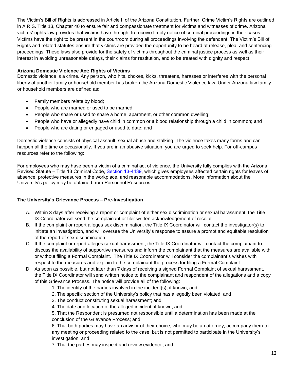The Victim's Bill of Rights is addressed in Article II of the Arizona Constitution. Further, Crime Victim's Rights are outlined in A.R.S. Title 13, Chapter 40 to ensure fair and compassionate treatment for victims and witnesses of crime. Arizona victims' rights law provides that victims have the right to receive timely notice of criminal proceedings in their cases. Victims have the right to be present in the courtroom during all proceedings involving the defendant. The Victim's Bill of Rights and related statutes ensure that victims are provided the opportunity to be heard at release, plea, and sentencing proceedings. These laws also provide for the safety of victims throughout the criminal justice process as well as their interest in avoiding unreasonable delays, their claims for restitution, and to be treated with dignity and respect.

#### **Arizona Domestic Violence Act: Rights of Victims**

Domestic violence is a crime. Any person, who hits, chokes, kicks, threatens, harasses or interferes with the personal liberty of another family or household member has broken the Arizona Domestic Violence law. Under Arizona law family or household members are defined as:

- Family members relate by blood;
- People who are married or used to be married;
- People who share or used to share a home, apartment, or other common dwelling;
- People who have or allegedly have child in common or a blood relationship through a child in common; and
- People who are dating or engaged or used to date; and

Domestic violence consists of physical assault, sexual abuse and stalking. The violence takes many forms and can happen all the time or occasionally. If you are in an abusive situation, you are urged to seek help. For off-campus resources refer to the following:

For employees who may have been a victim of a criminal act of violence, the University fully complies with the Arizona Revised Statute – Title 13 Criminal Code, [Section 13-4439,](http://www.azleg.state.az.us/ars/13/04439.htm) which gives employees affected certain rights for leaves of absence, protective measures in the workplace, and reasonable accommodations. More information about the University's policy may be obtained from Personnel Resources.

#### **The University's Grievance Process – Pre-Investigation**

- A. Within 3 days after receiving a report or complaint of either sex discrimination or sexual harassment, the Title IX Coordinator will send the complainant or filer written acknowledgement of receipt.
- B. If the complaint or report alleges sex discrimination, the Title IX Coordinator will contact the investigator(s) to initiate an investigation, and will oversee the University's response to assure a prompt and equitable resolution of the report of sex discrimination.
- C. If the complaint or report alleges sexual harassment, the Title IX Coordinator will contact the complainant to discuss the availability of supportive measures and inform the complainant that the measures are available with or without filing a Formal Complaint. The Title IX Coordinator will consider the complainant's wishes with respect to the measures and explain to the complainant the process for filing a Formal Complaint.
- D. As soon as possible, but not later than 7 days of receiving a signed Formal Complaint of sexual harassment, the Title IX Coordinator will send written notice to the complainant and respondent of the allegations and a copy of this Grievance Process. The notice will provide all of the following:
	- 1. The identity of the parties involved in the incident(s), if known; and
	- 2. The specific section of the University's policy that has allegedly been violated; and
	- 3. The conduct constituting sexual harassment; and
	- 4. The date and location of the alleged incident, if known; and

5. That the Respondent is presumed not responsible until a determination has been made at the conclusion of the Grievance Process; and

6. That both parties may have an advisor of their choice, who may be an attorney, accompany them to any meeting or proceeding related to the case, but is not permitted to participate in the University's investigation; and

7. That the parties may inspect and review evidence; and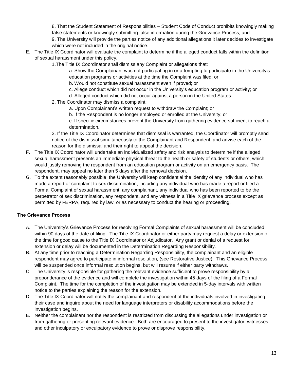8. That the Student Statement of Responsibilities – Student Code of Conduct prohibits knowingly making false statements or knowingly submitting false information during the Grievance Process; and

9. The University will provide the parties notice of any additional allegations it later decides to investigate which were not included in the original notice.

- E. The Title IX Coordinator will evaluate the complaint to determine if the alleged conduct falls within the definition of sexual harassment under this policy.
	- 1.The Title IX Coordinator shall dismiss any Complaint or allegations that;

a. Show the Complainant was not participating in or attempting to participate in the University's education programs or activities at the time the Complaint was filed; or

b. Would not constitute sexual harassment even if proved; or

- c. Allege conduct which did not occur in the University's education program or activity; or
- d. Alleged conduct which did not occur against a person in the United States.
- 2. The Coordinator may dismiss a complaint;
	- a. Upon Complainant's written request to withdraw the Complaint; or
	- b. If the Respondent is no longer employed or enrolled at the University; or

c. If specific circumstances prevent the University from gathering evidence sufficient to reach a determination.

3. If the Title IX Coordinator determines that dismissal is warranted, the Coordinator will promptly send notice of the dismissal simultaneously to the Complainant and Respondent, and advise each of the reason for the dismissal and their right to appeal the decision.

- F. The Title IX Coordinator will undertake an individualized safety and risk analysis to determine if the alleged sexual harassment presents an immediate physical threat to the health or safety of students or others, which would justify removing the respondent from an education program or activity on an emergency basis. The respondent, may appeal no later than 5 days after the removal decision.
- G. To the extent reasonably possible, the University will keep confidential the identity of any individual who has made a report or complaint to sex discrimination, including any individual who has made a report or filed a Formal Complaint of sexual harassment, any complainant, any individual who has been reported to be the perpetrator of sex discrimination, any respondent, and any witness in a Title IX grievance process except as permitted by FERPA, required by law, or as necessary to conduct the hearing or proceeding.

#### **The Grievance Process**

- A. The University's Grievance Process for resolving Formal Complaints of sexual harassment will be concluded within 90 days of the date of filing. The Title IX Coordinator or either party may request a delay or extension of the time for good cause to the Title IX Coordinator or Adjudicator. Any grant or denial of a request for extension or delay will be documented in the Determination Regarding Responsibility.
- B. At any time prior to reaching a Determination Regarding Responsibility, the complainant and an eligible respondent may agree to participate in informal resolution, (see Restorative Justice). This Grievance Process will be suspended once informal resolution begins, but will resume if either party withdraws.
- C. The University is responsible for gathering the relevant evidence sufficient to prove responsibility by a preponderance of the evidence and will complete the investigation within 45 days of the filing of a Formal Complaint. The time for the completion of the investigation may be extended in 5-day intervals with written notice to the parties explaining the reason for the extension.
- D. The Title IX Coordinator will notify the complainant and respondent of the individuals involved in investigating their case and inquire about the need for language interpreters or disability accommodations before the investigation begins.
- E. Neither the complainant nor the respondent is restricted from discussing the allegations under investigation or from gathering or presenting relevant evidence. Both are encouraged to present to the investigator, witnesses and other inculpatory or exculpatory evidence to prove or disprove responsibility.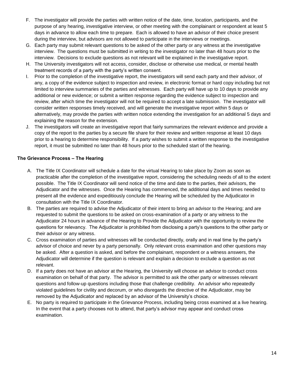- F. The investigator will provide the parties with written notice of the date, time, location, participants, and the purpose of any hearing, investigative interview, or other meeting with the complainant or respondent at least 5 days in advance to allow each time to prepare. Each is allowed to have an advisor of their choice present during the interview, but advisors are not allowed to participate in the interviews or meetings.
- G. Each party may submit relevant questions to be asked of the other party or any witness at the investigative interview. The questions must be submitted in writing to the investigator no later than 48 hours prior to the interview. Decisions to exclude questions as not relevant will be explained in the investigative report.
- H. The University investigators will not access, consider, disclose or otherwise use medical, or mental health treatment records of a party with the party's written consent.
- I. Prior to the completion of the investigative report, the investigators will send each party and their advisor, of any, a copy of the evidence subject to inspection and review, in electronic format or hard copy including but not limited to interview summaries of the parties and witnesses. Each party will have up to 10 days to provide any additional or new evidence; or submit a written response regarding the evidence subject to inspection and review, after which time the investigator will not be required to accept a late submission. The investigator will consider written responses timely received, and will generate the investigative report within 5 days or alternatively, may provide the parties with written notice extending the investigation for an additional 5 days and explaining the reason for the extension.
- J. The investigators will create an investigative report that fairly summarizes the relevant evidence and provide a copy of the report to the parties by a secure file share for their review and written response at least 10 days prior to a hearing to determine responsibility. If a party wishes to submit a written response to the investigative report, it must be submitted no later than 48 hours prior to the scheduled start of the hearing.

#### **The Grievance Process – The Hearing**

- A. The Title IX Coordinator will schedule a date for the virtual Hearing to take place by Zoom as soon as practicable after the completion of the investigative report, considering the scheduling needs of all to the extent possible. The Title IX Coordinator will send notice of the time and date to the parties, their advisors, the Adjudicator and the witnesses. Once the Hearing has commenced, the additional days and times needed to present all the evidence and expeditiously conclude the Hearing will be scheduled by the Adjudicator in consultation with the Title IX Coordinator.
- B. The parties are required to advise the Adjudicator of their intent to bring an advisor to the Hearing; and are requested to submit the questions to be asked on cross-examination of a party or any witness to the Adjudicator 24 hours in advance of the Hearing to Provide the Adjudicator with the opportunity to review the questions for relevancy. The Adjudicator is prohibited from disclosing a party's questions to the other party or their advisor or any witness.
- C. Cross examination of parties and witnesses will be conducted directly, orally and in real time by the party's advisor of choice and never by a party personally. Only relevant cross examination and other questions may be asked. After a question is asked, and before the complainant, respondent or a witness answers, the Adjudicator will determine if the question is relevant and explain a decision to exclude a question as not relevant.
- D. If a party does not have an advisor at the Hearing, the University will choose an advisor to conduct cross examination on behalf of that party. The advisor is permitted to ask the other party or witnesses relevant questions and follow-up questions including those that challenge credibility. An advisor who repeatedly violated guidelines for civility and decorum, or who disregards the directive of the Adjudicator, may be removed by the Adjudicator and replaced by an advisor of the University's choice.
- E. No party is required to participate in the Grievance Process, including being cross examined at a live hearing. In the event that a party chooses not to attend, that party's advisor may appear and conduct cross examination.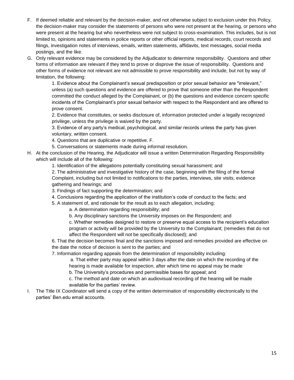- F. If deemed reliable and relevant by the decision-maker, and not otherwise subject to exclusion under this Policy, the decision-maker may consider the statements of persons who were not present at the hearing, or persons who were present at the hearing but who nevertheless were not subject to cross-examination. This includes, but is not limited to, opinions and statements in police reports or other official reports, medical records, court records and filings, investigation notes of interviews, emails, written statements, affidavits, text messages, social media postings, and the like.
- G. Only relevant evidence may be considered by the Adjudicator to determine responsibility. Questions and other forms of information are relevant if they tend to prove or disprove the issue of responsibility. Questions and other forms of evidence not relevant are not admissible to prove responsibility and include, but not by way of limitation, the following:

1. Evidence about the Complainant's sexual predisposition or prior sexual behavior are "irrelevant," unless (a) such questions and evidence are offered to prove that someone other than the Respondent committed the conduct alleged by the Complainant, or (b) the questions and evidence concern specific incidents of the Complainant's prior sexual behavior with respect to the Respondent and are offered to prove consent.

2. Evidence that constitutes, or seeks disclosure of, information protected under a legally recognized privilege, unless the privilege is waived by the party.

3. Evidence of any party's medical, psychological, and similar records unless the party has given voluntary, written consent.

- 4. Questions that are duplicative or repetitive. F.
- 5. Conversations or statements made during informal resolution.
- H. At the conclusion of the Hearing, the Adjudicator will issue a written Determination Regarding Responsibility which will include all of the following:
	- 1. Identification of the allegations potentially constituting sexual harassment; and

2. The administrative and investigative history of the case, beginning with the filing of the formal Complaint, including but not limited to notifications to the parties, interviews, site visits, evidence gathering and hearings; and

- 3. Findings of fact supporting the determination; and
- 4. Conclusions regarding the application of the institution's code of conduct to the facts; and
- 5. A statement of, and rationale for the result as to each allegation, including:

a. A determination regarding responsibility; and

b. Any disciplinary sanctions the University imposes on the Respondent; and

c. Whether remedies designed to restore or preserve equal access to the recipient's education program or activity will be provided by the University to the Complainant; (remedies that do not affect the Respondent will not be specifically disclosed); and

6. That the decision becomes final and the sanctions imposed and remedies provided are effective on the date the notice of decision is sent to the parties; and

7. Information regarding appeals from the determination of responsibility including:

a. That either party may appeal within 3 days after the date on which the recording of the hearing is made available for inspection, after which time no appeal may be made

b. The University's procedures and permissible bases for appeal; and

c. The method and date on which an audiovisual recording of the hearing will be made available for the parties' review.

I. The Title IX Coordinator will send a copy of the written determination of responsibility electronically to the parties' Ben.edu email accounts.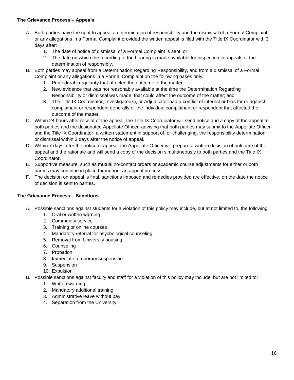#### **The Grievance Process – Appeals**

- A. Both parties have the right to appeal a determination of responsibility and the dismissal of a Formal Complaint or any allegations in a Formal Complaint provided the written appeal is filed with the Title IX Coordinator with 3 days after:
	- 1. The date of notice of dismissal of a Formal Complaint is sent; or
	- 2. The date on which the recording of the hearing is made available for inspection in appeals of the determination of responsibly.
- B. Both parties may appeal from a Determination Regarding Responsibility, and from a dismissal of a Formal Complaint or any allegations in a Formal Complaint on the following bases only:
	- 1. Procedural irregularity that affected the outcome of the matter;
	- 2. New evidence that was not reasonably available at the time the Determination Regarding Responsibility or dismissal was made, that could affect the outcome of the matter; and
	- 3. The Title IX Coordinator, Investigator(s), or Adjudicator had a conflict of interest or bias for or against complainant or respondent generally or the individual complainant or respondent that affected the outcome of the matter.
- C. Within 24 hours after receipt of the appeal, the Title IX Coordinator will send notice and a copy of the appeal to both parties and the designated Appellate Officer; advising that both parties may submit to the Appellate Officer and the Title IX Coordinator, a written statement in support of, or challenging, the responsibility determination or dismissal within 3 days after the notice of appeal.
- D. Within 7 days after the notice of appeal, the Appellate Officer will prepare a written decision of outcome of the appeal and the rationale and will send a copy of the decision simultaneously to both parties and the Title IX Coordinator.
- E. Supportive measure, such as mutual no-contact orders or academic course adjustments for either or both parties may continue in place throughout an appeal process.
- F. The decision on appeal is final, sanctions imposed and remedies provided are effective, on the date the notice of decision is sent to parties.

#### **The Grievance Process – Sanctions**

- A. Possible sanctions against students for a violation of this policy may include, but at not limited to, the following:
	- 1. Oral or written warning
	- 2. Community service
	- 3. Training or online courses
	- 4. Mandatory referral for psychological counseling
	- 5. Removal from University housing
	- 6. Counseling
	- 7. Probation
	- 8. Immediate temporary suspension
	- 9. Suspension
	- 10. Expulsion
- B. Possible sanctions against faculty and staff for a violation of this policy may include, but are not limited to:
	- 1. Written warning
	- 2. Mandatory additional training
	- 3. Administrative leave without pay
	- 4. Separation from the University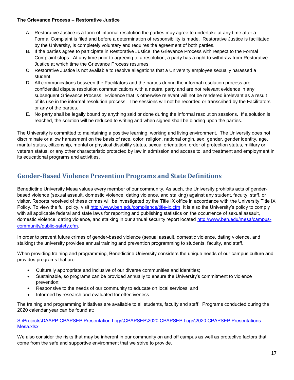#### **The Grievance Process – Restorative Justice**

- A. Restorative Justice is a form of informal resolution the parties may agree to undertake at any time after a Formal Complaint is filed and before a determination of responsibility is made. Restorative Justice is facilitated by the University, is completely voluntary and requires the agreement of both parties.
- B. If the parties agree to participate in Restorative Justice, the Grievance Process with respect to the Formal Complaint stops. At any time prior to agreeing to a resolution, a party has a right to withdraw from Restorative Justice at which time the Grievance Process resumes.
- C. Restorative Justice is not available to resolve allegations that a University employee sexually harassed a student.
- D. All communications between the Facilitators and the parties during the informal resolution process are confidential dispute resolution communications with a neutral party and are not relevant evidence in any subsequent Grievance Process. Evidence that is otherwise relevant will not be rendered irrelevant as a result of its use in the informal resolution process. The sessions will not be recorded or transcribed by the Facilitators or any of the parties.
- E. No party shall be legally bound by anything said or done during the informal resolution sessions. If a solution is reached, the solution will be reduced to writing and when signed shall be binding upon the parties.

The University is committed to maintaining a positive learning, working and living environment. The University does not discriminate or allow harassment on the basis of race, color, religion, national origin, sex, gender, gender identity, age, marital status, citizenship, mental or physical disability status, sexual orientation, order of protection status, military or veteran status, or any other characteristic protected by law in admission and access to, and treatment and employment in its educational programs and activities.

# **Gender-Based Violence Prevention Programs and State Definitions**

Benedictine University Mesa values every member of our community. As such, the University prohibits acts of genderbased violence (sexual assault, domestic violence, dating violence, and stalking) against any student, faculty, staff, or visitor. Reports received of these crimes will be investigated by the Title IX office in accordance with the University Title IX Policy. To view the full policy, visit [http://www.ben.edu/compliance/title-ix.cfm.](http://www.ben.edu/compliance/title-ix.cfm) It is also the University's policy to comply with all applicable federal and state laws for reporting and publishing statistics on the occurrence of sexual assault, domestic violence, dating violence, and stalking in our annual security report located [http://www.ben.edu/mesa/campus](http://www.ben.edu/mesa/campus-community/public-safety.cfm)[community/public-safety.cfm](http://www.ben.edu/mesa/campus-community/public-safety.cfm).

In order to prevent future crimes of gender-based violence (sexual assault, domestic violence, dating violence, and stalking) the university provides annual training and prevention programming to students, faculty, and staff.

When providing training and programming, Benedictine University considers the unique needs of our campus culture and provides programs that are:

- Culturally appropriate and inclusive of our diverse communities and identities;
- Sustainable, so programs can be provided annually to ensure the University's commitment to violence prevention;
- Responsive to the needs of our community to educate on local services; and
- Informed by research and evaluated for effectiveness.

The training and programming initiatives are available to all students, faculty and staff. Programs conducted during the 2020 calendar year can be found at:

[S:\Projects\DAAPP-CPAPSEP Presentation Logs\CPAPSEP\2020 CPAPSEP Logs\2020 CPAPSEP Presentations](file://///benufs/Share$/Projects/DAAPP-CPAPSEP%20Presentation%20Logs/CPAPSEP/2020%20CPAPSEP%20Logs/2020%20CPAPSEP%20Presentations%20Mesa.xlsx)  [Mesa.xlsx](file://///benufs/Share$/Projects/DAAPP-CPAPSEP%20Presentation%20Logs/CPAPSEP/2020%20CPAPSEP%20Logs/2020%20CPAPSEP%20Presentations%20Mesa.xlsx)

We also consider the risks that may be inherent in our community on and off campus as well as protective factors that come from the safe and supportive environment that we strive to provide.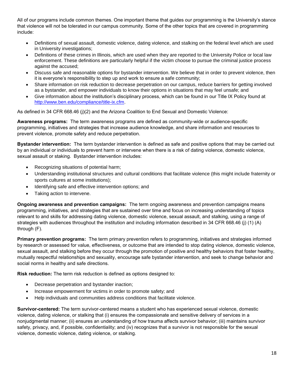All of our programs include common themes. One important theme that guides our programming is the University's stance that violence will not be tolerated in our campus community. Some of the other topics that are covered in programming include:

- Definitions of sexual assault, domestic violence, dating violence, and stalking on the federal level which are used in University investigations;
- Definitions of these crimes in Illinois, which are used when they are reported to the University Police or local law enforcement. These definitions are particularly helpful if the victim choose to pursue the criminal justice process against the accused;
- Discuss safe and reasonable options for bystander intervention. We believe that in order to prevent violence, then it is everyone's responsibility to step up and work to ensure a safe community;
- Share information on risk reduction to decrease perpetration on our campus, reduce barriers for getting involved as a bystander, and empower individuals to know their options in situations that may feel unsafe; and
- Give information about the institution's disciplinary process, which can be found in our Title IX Policy found at [http://www.ben.edu/compliance/title-ix.cfm.](http://www.ben.edu/compliance/title-ix.cfm)

As defined in 34 CFR 668.46 (j)(2) and the Arizona Coalition to End Sexual and Domestic Violence:

**Awareness programs:** The term awareness programs are defined as community-wide or audience-specific programming, initiatives and strategies that increase audience knowledge, and share information and resources to prevent violence, promote safety and reduce perpetration.

**Bystander intervention:** The term bystander intervention is defined as safe and positive options that may be carried out by an individual or individuals to prevent harm or intervene when there is a risk of dating violence, domestic violence, sexual assault or staking. Bystander intervention includes:

- Recognizing situations of potential harm;
- Understanding institutional structures and cultural conditions that facilitate violence (this might include fraternity or sports cultures at some institutions);
- Identifying safe and effective intervention options; and
- Taking action to intervene.

**Ongoing awareness and prevention campaigns:** The term ongoing awareness and prevention campaigns means programming, initiatives, and strategies that are sustained over time and focus on increasing understanding of topics relevant to and skills for addressing dating violence, domestic violence, sexual assault, and stalking, using a range of strategies with audiences throughout the institution and including information described in 34 CFR 668.46 (j) (1) (A) through (F).

**Primary prevention programs:** The term primary prevention refers to programming, initiatives and strategies informed by research or assessed for value, effectiveness, or outcome that are intended to stop dating violence, domestic violence, sexual assault, and stalking before they occur through the promotion of positive and healthy behaviors that foster healthy, mutually respectful relationships and sexuality, encourage safe bystander intervention, and seek to change behavior and social norms in healthy and safe directions.

**Risk reduction:** The term risk reduction is defined as options designed to:

- Decrease perpetration and bystander inaction;
- Increase empowerment for victims in order to promote safety; and
- Help individuals and communities address conditions that facilitate violence.

**Survivor-centered:** The term survivor-centered means a student who has experienced sexual violence, domestic violence, dating violence, or stalking that (i) ensures the compassionate and sensitive delivery of services in a nonjudgmental manner; (ii) ensures an understanding of how trauma affects survivor behavior; (iii) maintains survivor safety, privacy, and, if possible, confidentiality; and (iv) recognizes that a survivor is not responsible for the sexual violence, domestic violence, dating violence, or stalking.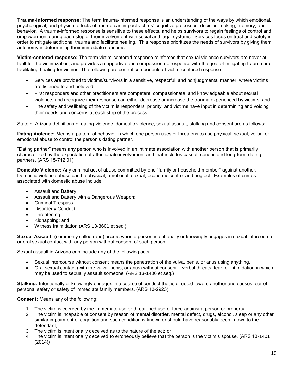**Trauma-informed response:** The term trauma-informed response is an understanding of the ways by which emotional, psychological, and physical effects of trauma can impact victims' cognitive processes, decision-making, memory, and behavior. A trauma-informed response is sensitive to these effects, and helps survivors to regain feelings of control and empowerment during each step of their involvement with social and legal systems. Services focus on trust and safety in order to mitigate additional trauma and facilitate healing. This response prioritizes the needs of survivors by giving them autonomy in determining their immediate concerns.

**Victim-centered response:** The term victim-centered response reinforces that sexual violence survivors are never at fault for the victimization, and provides a supportive and compassionate response with the goal of mitigating trauma and facilitating healing for victims. The following are central components of victim-centered response:

- Services are provided to victims/survivors in a sensitive, respectful, and nonjudgmental manner, where victims are listened to and believed;
- First responders and other practitioners are competent, compassionate, and knowledgeable about sexual violence, and recognize their response can either decrease or increase the trauma experienced by victims; and
- The safety and wellbeing of the victim is responders' priority, and victims have input in determining and voicing their needs and concerns at each step of the process.

State of Arizona definitions of dating violence, domestic violence, sexual assault, stalking and consent are as follows:

**Dating Violence:** Means a pattern of behavior in which one person uses or threatens to use physical, sexual, verbal or emotional abuse to control the person's dating partner.

"Dating partner" means any person who is involved in an intimate association with another person that is primarily characterized by the expectation of affectionate involvement and that includes casual, serious and long-term dating partners. (ARS 15-712.01)

**Domestic Violence:** Any criminal act of abuse committed by one "family or household member" against another. Domestic violence abuse can be physical, emotional, sexual, economic control and neglect. Examples of crimes associated with domestic abuse include:

- Assault and Battery;
- Assault and Battery with a Dangerous Weapon;
- Criminal Trespass;
- Disorderly Conduct;
- Threatening;
- Kidnapping; and
- Witness Intimidation (ARS 13-3601 et seq.)

**Sexual Assault:** (commonly called rape) occurs when a person intentionally or knowingly engages in sexual intercourse or oral sexual contact with any person without consent of such person.

Sexual assault in Arizona can include any of the following acts:

- Sexual intercourse without consent means the penetration of the vulva, penis, or anus using anything.
- Oral sexual contact (with the vulva, penis, or anus) without consent verbal threats, fear, or intimidation in which may be used to sexually assault someone. (ARS 13-1406 et seq.)

**Stalking:** Intentionally or knowingly engages in a course of conduct that is directed toward another and causes fear of personal safety or safety of immediate family members. (ARS 13-2923)

#### **Consent:** Means any of the following:

- 1. The victim is coerced by the immediate use or threatened use of force against a person or property;
- 2. The victim is incapable of consent by reason of mental disorder, mental defect, drugs, alcohol, sleep or any other similar impairment of cognition and such condition is known or should have reasonably been known to the defendant;
- 3. The victim is intentionally deceived as to the nature of the act; or
- 4. The victim is intentionally deceived to erroneously believe that the person is the victim's spouse. (ARS 13-1401 (2014))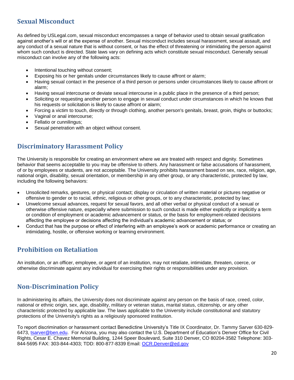# **Sexual Misconduct**

As defined by USLegal.com, sexual misconduct encompasses a range of behavior used to obtain sexual gratification against another's will or at the expense of another. Sexual misconduct includes sexual harassment, sexual assault, and any conduct of a sexual nature that is without consent, or has the effect of threatening or intimidating the person against whom such conduct is directed. State laws vary on defining acts which constitute sexual misconduct. Generally sexual misconduct can involve any of the following acts:

- Intentional touching without consent;
- Exposing his or her genitals under circumstances likely to cause affront or alarm;
- Having sexual contact in the presence of a third person or persons under circumstances likely to cause affront or alarm;
- Having sexual intercourse or deviate sexual intercourse in a public place in the presence of a third person;
- Soliciting or requesting another person to engage in sexual conduct under circumstances in which he knows that his requests or solicitation is likely to cause affront or alarm;
- Forcing a victim to touch, directly or through clothing, another person's genitals, breast, groin, thighs or buttocks;
- Vaginal or anal intercourse;
- Fellatio or cunnilingus;
- Sexual penetration with an object without consent.

#### **Discriminatory Harassment Policy**

The University is responsible for creating an environment where we are treated with respect and dignity. Sometimes behavior that seems acceptable to you may be offensive to others. Any harassment or false accusations of harassment, of or by employees or students, are not acceptable. The University prohibits harassment based on sex, race, religion, age, national origin, disability, sexual orientation, or membership in any other group, or any characteristic, protected by law, including the following behaviors:

- Unsolicited remarks, gestures, or physical contact; display or circulation of written material or pictures negative or offensive to gender or to racial, ethnic, religious or other groups, or to any characteristic, protected by law;
- Unwelcome sexual advances, request for sexual favors, and all other verbal or physical conduct of a sexual or otherwise offensive nature, especially where submission to such conduct is made either explicitly or implicitly a term or condition of employment or academic advancement or status, or the basis for employment-related decisions affecting the employee or decisions affecting the individual's academic advancement or status; or
- Conduct that has the purpose or effect of interfering with an employee's work or academic performance or creating an intimidating, hostile, or offensive working or learning environment.

# **Prohibition on Retaliation**

An institution, or an officer, employee, or agent of an institution, may not retaliate, intimidate, threaten, coerce, or otherwise discriminate against any individual for exercising their rights or responsibilities under any provision.

#### **Non-Discrimination Policy**

In administering its affairs, the University does not discriminate against any person on the basis of race, creed, color, national or ethnic origin, sex, age, disability, military or veteran status, marital status, citizenship, or any other characteristic protected by applicable law. The laws applicable to the University include constitutional and statutory protections of the University's rights as a religiously sponsored institution.

To report discrimination or harassment contact Benedictine University's Title IX Coordinator, Dr. Tammy Sarver 630-829 6473, [tsarver@ben.edu.](mailto:tsarver@ben.edu) For Arizona, you may also contact the U.S. Department of Education's Denver Office for Civil Rights, Cesar E. Chavez Memorial Building, 1244 Speer Boulevard, Suite 310 Denver, CO 80204-3582 Telephone: 303- 844-5695 FAX: 303-844-4303; TDD: 800-877-8339 Email: [OCR.Denver@ed.gov](mailto:OCR.Denver@ed.gov)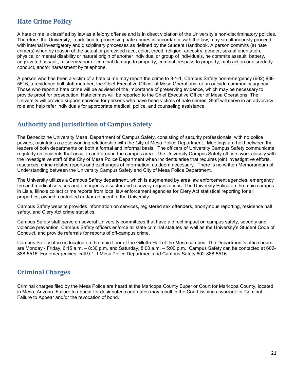# **Hate Crime Policy**

A hate crime is classified by law as a felony offense and is in direct violation of the University's non-discriminatory policies. Therefore, the University, in addition to processing hate crimes in accordance with the law, may simultaneously proceed with internal investigatory and disciplinary processes as defined by the Student Handbook. A person commits (a) hate crime(s) when by reason of the actual or perceived race, color, creed, religion, ancestry, gender, sexual orientation, physical or mental disability or natural origin of another individual or group of individuals, he commits assault, battery, aggravated assault, misdemeanor or criminal damage to property, criminal trespass to property, mob action or disorderly conduct, and/or harassment by telephone.

A person who has been a victim of a hate crime may report the crime to 9-1-1, Campus Safety non-emergency (602) 888- 5516, a residence hall staff member, the Chief Executive Officer of Mesa Operations, or an outside community agency. Those who report a hate crime will be advised of the importance of preserving evidence, which may be necessary to provide proof for prosecution. Hate crimes will be reported to the Chief Executive Officer of Mesa Operations. The University will provide support services for persons who have been victims of hate crimes. Staff will serve in an advocacy role and help refer individuals for appropriate medical, police, and counseling assistance.

#### **Authority and Jurisdiction of Campus Safety**

The Benedictine University Mesa, Department of Campus Safety, consisting of security professionals, with no police powers, maintains a close working relationship with the City of Mesa Police Department. Meetings are held between the leaders of both departments on both a formal and informal basis. The officers of University Campus Safety communicate regularly on incidents that occur in and around the campus area. The University Campus Safety officers work closely with the investigative staff of the City of Mesa Police Department when incidents arise that requires joint investigative efforts, resources, crime related reports and exchanges of information, as deem necessary. There is no written Memorandum of Understanding between the University Campus Safety and City of Mesa Police Department.

The University utilizes a Campus Safety department, which is augmented by area law enforcement agencies, emergency fire and medical services and emergency disaster and recovery organizations. The University Police on the main campus in Lisle, Illinois collect crime reports from local law enforcement agencies for Clery Act statistical reporting for all properties, owned, controlled and/or adjacent to the University.

Campus Safety website provides information on services, registered sex offenders, anonymous reporting, residence hall safety, and Clery Act crime statistics.

Campus Safety staff serve on several University committees that have a direct impact on campus safety, security and violence prevention. Campus Safety officers enforce all state criminal statutes as well as the University's Student Code of Conduct, and provide referrals for reports of off-campus crime.

Campus Safety office is located on the main floor of the Gillette Hall of the Mesa campus. The Department's office hours are Monday - Friday, 6:15 a.m. – 8:30 p.m. and Saturday, 8:00 a.m. – 5:00 p.m. Campus Safety can be contacted at 602- 888-5516. For emergencies, call 9-1-1 Mesa Police Department and Campus Safety 602-888-5516.

#### **Criminal Charges**

Criminal charges filed by the Mesa Police are heard at the Maricopa County Superior Court for Maricopa County, located in Mesa, Arizona. Failure to appear for designated court dates may result in the Court issuing a warrant for Criminal Failure to Appear and/or the revocation of bond.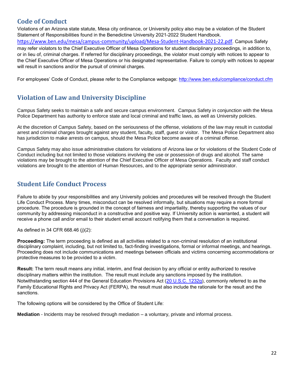# **Code of Conduct**

Violations of an Arizona state statute, Mesa city ordinance, or University policy also may be a violation of the Student Statement of Responsibilities found in the Benedictine University 2021-2022 Student Handbook. <https://www.ben.edu/mesa/campus-community/upload/Mesa-Student-Handbook-2021-22.pdf>. Campus Safety may refer violators to the Chief Executive Officer of Mesa Operations for student disciplinary proceedings, in addition to, or in lieu of, criminal charges. If referred for disciplinary proceedings, the violator must comply with notices to appear to the Chief Executive Officer of Mesa Operations or his designated representative. Failure to comply with notices to appear will result in sanctions and/or the pursuit of criminal charges.

For employees' Code of Conduct, please refer to the Compliance webpage:<http://www.ben.edu/compliance/conduct.cfm>

# **Violation of Law and University Discipline**

Campus Safety seeks to maintain a safe and secure campus environment. Campus Safety in conjunction with the Mesa Police Department has authority to enforce state and local criminal and traffic laws, as well as University policies.

At the discretion of Campus Safety, based on the seriousness of the offense, violations of the law may result in custodial arrest and criminal charges brought against any student, faculty, staff, guest or visitor. The Mesa Police Department also has jurisdiction to make arrests on campus, should the Mesa Police become aware of a criminal offense.

Campus Safety may also issue administrative citations for violations of Arizona law or for violations of the Student Code of Conduct including but not limited to those violations involving the use or possession of drugs and alcohol. The same violations may be brought to the attention of the Chief Executive Officer of Mesa Operations. Faculty and staff conduct violations are brought to the attention of Human Resources, and to the appropriate senior administrator.

#### **Student Life Conduct Process**

Failure to abide by your responsibilities and any University policies and procedures will be resolved through the Student Life Conduct Process. Many times, misconduct can be resolved informally, but situations may require a more formal procedure. The procedure is grounded in the concept of fairness and impartiality, thereby supporting the values of our community by addressing misconduct in a constructive and positive way. If University action is warranted, a student will receive a phone call and/or email to their student email account notifying them that a conversation is required.

As defined in 34 CFR 668.46 (j)(2):

**Proceeding:** The term proceeding is defined as all activities related to a non-criminal resolution of an institutional disciplinary complaint, including, but not limited to, fact-finding investigations, formal or informal meetings, and hearings. Proceeding does not include communications and meetings between officials and victims concerning accommodations or protective measures to be provided to a victim.

**Result:** The term result means any initial, interim, and final decision by any official or entity authorized to resolve disciplinary matters within the institution. The result must include any sanctions imposed by the institution. Notwithstanding section 444 of the General Education Provisions Act [\(20 U.S.C. 1232g\)](https://www.law.cornell.edu/uscode/text/20/1232g), commonly referred to as the Family Educational Rights and Privacy Act (FERPA), the result must also include the rationale for the result and the sanctions.

The following options will be considered by the Office of Student Life:

**Mediation** - Incidents may be resolved through mediation – a voluntary, private and informal process.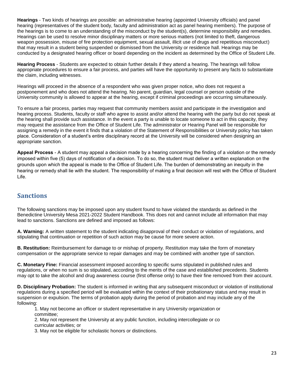**Hearings** - Two kinds of hearings are possible: an administrative hearing (appointed University officials) and panel hearing (representatives of the student body, faculty and administration act as panel hearing members). The purpose of the hearings is to come to an understanding of the misconduct by the student(s), determine responsibility and remedies. Hearings can be used to resolve minor disciplinary matters or more serious matters (not limited to theft, dangerous weapon possession, misuse of fire protection equipment, sexual assault, illicit use of drugs and repetitious misconduct) that may result in a student being suspended or dismissed from the University or residence hall. Hearings may be conducted by a designated hearing officer or board depending on the incident as determined by the Office of Student Life.

**Hearing Process** - Students are expected to obtain further details if they attend a hearing. The hearings will follow appropriate procedures to ensure a fair process, and parties will have the opportunity to present any facts to substantiate the claim, including witnesses.

Hearings will proceed in the absence of a respondent who was given proper notice, who does not request a postponement and who does not attend the hearing. No parent, guardian, legal counsel or person outside of the University community is allowed to appear at the hearing, except if criminal proceedings are occurring simultaneously.

To ensure a fair process, parties may request that community members assist and participate in the investigation and hearing process. Students, faculty or staff who agree to assist and/or attend the hearing with the party but do not speak at the hearing shall provide such assistance. In the event a party is unable to locate someone to act in this capacity, they may request the assistance from the Office of Student Life. The administrator or Hearing Panel will be responsible for assigning a remedy in the event it finds that a violation of the Statement of Responsibilities or University policy has taken place. Consideration of a student's entire disciplinary record at the University will be considered when designing an appropriate sanction.

**Appeal Process** - A student may appeal a decision made by a hearing concerning the finding of a violation or the remedy imposed within five (5) days of notification of a decision. To do so, the student must deliver a written explanation on the grounds upon which the appeal is made to the Office of Student Life. The burden of demonstrating an inequity in the hearing or remedy shall lie with the student. The responsibility of making a final decision will rest with the Office of Student Life.

#### **Sanctions**

The following sanctions may be imposed upon any student found to have violated the standards as defined in the Benedictine University Mesa 2021-2022 Student Handbook. This does not and cannot include all information that may lead to sanctions. Sanctions are defined and imposed as follows:

**A. Warning:** A written statement to the student indicating disapproval of their conduct or violation of regulations, and stipulating that continuation or repetition of such action may be cause for more severe action.

**B. Restitution:** Reimbursement for damage to or mishap of property. Restitution may take the form of monetary compensation or the appropriate service to repair damages and may be combined with another type of sanction.

**C. Monetary Fine:** Financial assessment imposed according to specific sums stipulated in published rules and regulations, or when no sum is so stipulated, according to the merits of the case and established precedents. Students may opt to take the alcohol and drug awareness course (first offense only) to have their fine removed from their account.

**D. Disciplinary Probation:** The student is informed in writing that any subsequent misconduct or violation of institutional regulations during a specified period will be evaluated within the context of their probationary status and may result in suspension or expulsion. The terms of probation apply during the period of probation and may include any of the following:

1. May not become an officer or student representative in any University organization or committee;

2. May not represent the University at any public function, including intercollegiate or co curricular activities; or

3. May not be eligible for scholastic honors or distinctions.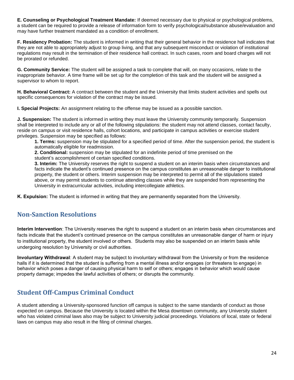**E. Counseling or Psychological Treatment Mandate:** If deemed necessary due to physical or psychological problems, a student can be required to provide a release of information form to verify psychological/substance abuse/evaluation and may have further treatment mandated as a condition of enrollment.

**F. Residency Probation:** The student is informed in writing that their general behavior in the residence hall indicates that they are not able to appropriately adjust to group living, and that any subsequent misconduct or violation of institutional regulations may result in the termination of their residence hall contract. In such cases, room and board charges will not be prorated or refunded.

**G. Community Service:** The student will be assigned a task to complete that will, on many occasions, relate to the inappropriate behavior. A time frame will be set up for the completion of this task and the student will be assigned a supervisor to whom to report.

**H. Behavioral Contract:** A contract between the student and the University that limits student activities and spells out specific consequences for violation of the contract may be issued.

**I. Special Projects:** An assignment relating to the offense may be issued as a possible sanction.

**J. Suspension:** The student is informed in writing they must leave the University community temporarily. Suspension shall be interpreted to include any or all of the following stipulations: the student may not attend classes, contact faculty, reside on campus or visit residence halls, cohort locations, and participate in campus activities or exercise student privileges. Suspension may be specified as follows:

**1. Terms:** suspension may be stipulated for a specified period of time. After the suspension period, the student is automatically eligible for readmission.

**2. Conditional:** suspension may be stipulated for an indefinite period of time premised on the

student's accomplishment of certain specified conditions.

**3. Interim:** The University reserves the right to suspend a student on an interim basis when circumstances and facts indicate the student's continued presence on the campus constitutes an unreasonable danger to institutional property, the student or others. Interim suspension may be interpreted to permit all of the stipulations stated above, or may permit students to continue attending classes while they are suspended from representing the University in extracurricular activities, including intercollegiate athletics.

**K. Expulsion:** The student is informed in writing that they are permanently separated from the University.

# **Non-Sanction Resolutions**

**Interim Intervention**: The University reserves the right to suspend a student on an interim basis when circumstances and facts indicate that the student's continued presence on the campus constitutes an unreasonable danger of harm or injury to institutional property, the student involved or others. Students may also be suspended on an interim basis while undergoing resolution by University or civil authorities.

**Involuntary Withdrawal**: A student may be subject to involuntary withdrawal from the University or from the residence halls if it is determined that the student is suffering from a mental illness and/or engages (or threatens to engage) in behavior which poses a danger of causing physical harm to self or others; engages in behavior which would cause property damage; impedes the lawful activities of others; or disrupts the community.

# **Student Off-Campus Criminal Conduct**

A student attending a University-sponsored function off campus is subject to the same standards of conduct as those expected on campus. Because the University is located within the Mesa downtown community, any University student who has violated criminal laws also may be subject to University judicial proceedings. Violations of local, state or federal laws on campus may also result in the filing of criminal charges.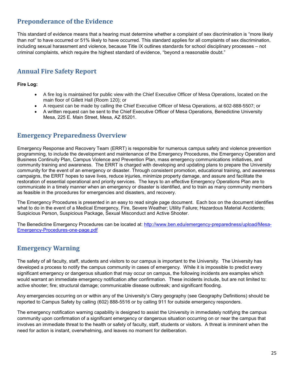# **Preponderance of the Evidence**

This standard of evidence means that a hearing must determine whether a complaint of sex discrimination is "more likely than not" to have occurred or 51% likely to have occurred. This standard applies for all complaints of sex discrimination, including sexual harassment and violence, because Title IX outlines standards for school disciplinary processes – not criminal complaints, which require the highest standard of evidence, "beyond a reasonable doubt."

# **Annual Fire Safety Report**

**Fire Log:**

- A fire log is maintained for public view with the Chief Executive Officer of Mesa Operations, located on the main floor of Gillett Hall (Room 120); or
- A request can be made by calling the Chief Executive Officer of Mesa Operations, at 602-888-5507; or
- A written request can be sent to the Chief Executive Officer of Mesa Operations, Benedictine University Mesa, 225 E. Main Street, Mesa, AZ 85201.

#### **Emergency Preparedness Overview**

Emergency Response and Recovery Team (ERRT) is responsible for numerous campus safety and violence prevention programming, to include the development and maintenance of the Emergency Procedures, the Emergency Operation and Business Continuity Plan, Campus Violence and Prevention Plan, mass emergency communications initiatives, and community training and awareness. The ERRT is charged with developing and updating plans to prepare the University community for the event of an emergency or disaster. Through consistent promotion, educational training, and awareness campaigns, the ERRT hopes to save lives, reduce injuries, minimize property damage, and assure and facilitate the restoration of essential operational and priority services. The keys to an effective Emergency Operations Plan are to communicate in a timely manner when an emergency or disaster is identified, and to train as many community members as feasible in the procedures for emergencies and disasters, and recovery.

The Emergency Procedures is presented in an easy to read single page document. Each box on the document identifies what to do in the event of a Medical Emergency, Fire, Severe Weather; Utility Failure; Hazardous Material Accidents; Suspicious Person, Suspicious Package, Sexual Misconduct and Active Shooter.

The Benedictine Emergency Procedures can be located at: [http://www.ben.edu/emergency-preparedness/upload/Mesa-](http://www.ben.edu/emergency-preparedness/upload/Mesa-Emergency-Procedures-one-page.pdf)[Emergency-Procedures-one-page.pdf](http://www.ben.edu/emergency-preparedness/upload/Mesa-Emergency-Procedures-one-page.pdf)

# **Emergency Warning**

The safety of all faculty, staff, students and visitors to our campus is important to the University. The University has developed a process to notify the campus community in cases of emergency. While it is impossible to predict every significant emergency or dangerous situation that may occur on campus, the following incidents are examples which would warrant an immediate emergency notification after confirmation. These incidents include, but are not limited to: active shooter; fire; structural damage; communicable disease outbreak; and significant flooding.

Any emergencies occurring on or within any of the University's Clery geography (see Geography Definitions) should be reported to Campus Safety by calling (602) 888-5516 or by calling 911 for outside emergency responders.

The emergency notification warning capability is designed to assist the University in immediately notifying the campus community upon confirmation of a significant emergency or dangerous situation occurring on or near the campus that involves an immediate threat to the health or safety of faculty, staff, students or visitors. A threat is imminent when the need for action is instant, overwhelming, and leaves no moment for deliberation.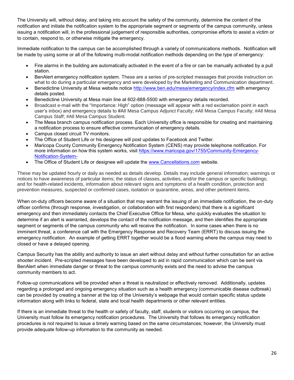The University will, without delay, and taking into account the safety of the community, determine the content of the notification and initiate the notification system to the appropriate segment or segments of the campus community, unless issuing a notification will, in the professional judgement of responsible authorities, compromise efforts to assist a victim or to contain, respond to, or otherwise mitigate the emergency.

Immediate notification to the campus can be accomplished through a variety of communications methods. Notification will be made by using some or all of the following multi-modal notification methods depending on the type of emergency:

- Fire alarms in the building are automatically activated in the event of a fire or can be manually activated by a pull station.
- BenAlert emergency notification system. These are a series of pre-scripted messages that provide instruction on what to do during a particular emergency and were developed by the Marketing and Communication department.
- Benedictine University at Mesa website notice<http://www.ben.edu/mesa/emergency/index.cfm> with emergency details posted.
- Benedictine University at Mesa main line at 602-888-5500 with emergency details recorded.
- Broadcast e-mail with the "Importance: High" option (message will appear with a red exclamation point in each user's inbox) and emergency details to #All Mesa Campus Adjunct Faculty; #All Mesa Campus Faculty; #All Mesa Campus Staff; #All Mesa Campus Student.
- The Mesa branch campus notification process. Each University office is responsible for creating and maintaining a notification process to ensure effective communication of emergency details.
- Campus closed circuit TV monitors.
- The Office of Student Life or his designee will post updates to Facebook and Twitter.
- Maricopa County Community Emergency Notification System (CENS) may provide telephone notification. For more information on how this system works, visit [https://www.maricopa.gov/1755/Community-Emergency-](https://www.maricopa.gov/1755/Community-Emergency-Notification-System-)[Notification-System-](https://www.maricopa.gov/1755/Community-Emergency-Notification-System-)
- The Office of Student Life or designee will update the [www.Cancellations.com](http://www.cancellations.com/) website.

These may be updated hourly or daily as needed as details develop. Details may include general information; warnings or notices to have awareness of particular items; the status of classes, activities, and/or the campus or specific buildings; and for health-related incidents, information about relevant signs and symptoms of a health condition, protection and prevention measures, suspected or confirmed cases, isolation or quarantine, areas, and other pertinent items.

When on-duty officers become aware of a situation that may warrant the issuing of an immediate notification, the on-duty officer confirms (through response, investigation, or collaboration with first responders) that there is a significant emergency and then immediately contacts the Chief Executive Office for Mesa, who quickly evaluates the situation to determine if an alert is warranted, develops the contact of the notification message, and then identifies the appropriate segment or segments of the campus community who will receive the notification. In some cases when there is no imminent threat, a conference call with the Emergency Response and Recovery Team (ERRT) to discuss issuing the emergency notification. An example of getting ERRT together would be a flood warning where the campus may need to closed or have a delayed opening.

Campus Security has the ability and authority to issue an alert without delay and without further consultation for an active shooter incident. Pre-scripted messages have been developed to aid in rapid communication which can be sent via BenAlert when immediate danger or threat to the campus community exists and the need to advise the campus community members to act.

Follow-up communications will be provided when a threat is neutralized or effectively removed. Additionally, updates regarding a prolonged and ongoing emergency situation such as a health emergency (communicable disease outbreak) can be provided by creating a banner at the top of the University's webpage that would contain specific status update information along with links to federal, state and local health departments or other relevant entities.

If there is an immediate threat to the health or safety of faculty, staff, students or visitors occurring on campus, the University must follow its emergency notification procedures. The University that follows its emergency notification procedures is not required to issue a timely warning based on the same circumstances; however, the University must provide adequate follow-up information to the community as needed.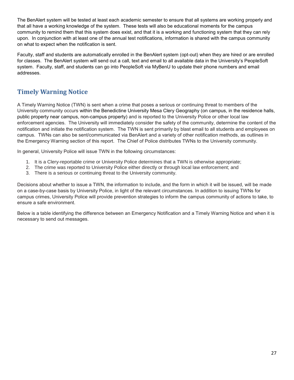The BenAlert system will be tested at least each academic semester to ensure that all systems are working properly and that all have a working knowledge of the system. These tests will also be educational moments for the campus community to remind them that this system does exist, and that it is a working and functioning system that they can rely upon. In conjunction with at least one of the annual test notifications, information is shared with the campus community on what to expect when the notification is sent.

Faculty, staff and students are automatically enrolled in the BenAlert system (opt-out) when they are hired or are enrolled for classes. The BenAlert system will send out a call, text and email to all available data in the University's PeopleSoft system. Faculty, staff, and students can go into PeopleSoft via MyBenU to update their phone numbers and email addresses.

# **Timely Warning Notice**

A Timely Warning Notice (TWN) is sent when a crime that poses a serious or continuing threat to members of the University community occurs within the Benedictine University Mesa Clery Geography (on campus, in the residence halls, public property near campus, non-campus property) and is reported to the University Police or other local law enforcement agencies. The University will immediately consider the safety of the community, determine the content of the notification and initiate the notification system. The TWN is sent primarily by blast email to all students and employees on campus. TWNs can also be sent/communicated via BenAlert and a variety of other notification methods, as outlines in the Emergency Warning section of this report. The Chief of Police distributes TWNs to the University community.

In general, University Police will issue TWN in the following circumstances:

- 1. It is a Clery-reportable crime or University Police determines that a TWN is otherwise appropriate;
- 2. The crime was reported to University Police either directly or through local law enforcement; and
- 3. There is a serious or continuing threat to the University community.

Decisions about whether to issue a TWN, the information to include, and the form in which it will be issued, will be made on a case-by-case basis by University Police, in light of the relevant circumstances. In addition to issuing TWNs for campus crimes, University Police will provide prevention strategies to inform the campus community of actions to take, to ensure a safe environment.

Below is a table identifying the difference between an Emergency Notification and a Timely Warning Notice and when it is necessary to send out messages.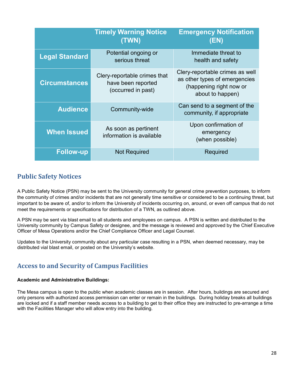|                       | <b>Timely Warning Notice</b><br>(TWN)                                    | <b>Emergency Notification</b><br>(EN)                                                                           |
|-----------------------|--------------------------------------------------------------------------|-----------------------------------------------------------------------------------------------------------------|
| <b>Legal Standard</b> | Potential ongoing or<br>serious threat                                   | Immediate threat to<br>health and safety                                                                        |
| <b>Circumstances</b>  | Clery-reportable crimes that<br>have been reported<br>(occurred in past) | Clery-reportable crimes as well<br>as other types of emergencies<br>(happening right now or<br>about to happen) |
| <b>Audience</b>       | Community-wide                                                           | Can send to a segment of the<br>community, if appropriate                                                       |
| <b>When Issued</b>    | As soon as pertinent<br>information is available                         | Upon confirmation of<br>emergency<br>(when possible)                                                            |
| <b>Follow-up</b>      | <b>Not Required</b>                                                      | Required                                                                                                        |

#### **Public Safety Notices**

A Public Safety Notice (PSN) may be sent to the University community for general crime prevention purposes, to inform the community of crimes and/or incidents that are not generally time sensitive or considered to be a continuing threat, but important to be aware of, and/or to inform the University of incidents occurring on, around, or even off campus that do not meet the requirements or specifications for distribution of a TWN, as outlined above.

A PSN may be sent via blast email to all students and employees on campus. A PSN is written and distributed to the University community by Campus Safety or designee, and the message is reviewed and approved by the Chief Executive Officer of Mesa Operations and/or the Chief Compliance Officer and Legal Counsel.

Updates to the University community about any particular case resulting in a PSN, when deemed necessary, may be distributed vial blast email, or posted on the University's website.

# **Access to and Security of Campus Facilities**

#### **Academic and Administrative Buildings:**

The Mesa campus is open to the public when academic classes are in session. After hours, buildings are secured and only persons with authorized access permission can enter or remain in the buildings. During holiday breaks all buildings are locked and if a staff member needs access to a building to get to their office they are instructed to pre-arrange a time with the Facilities Manager who will allow entry into the building.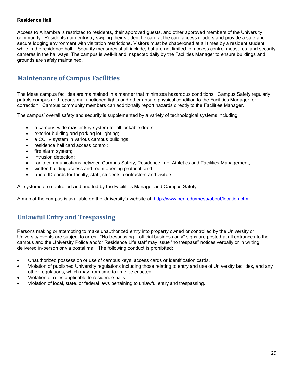#### **Residence Hall:**

Access to Alhambra is restricted to residents, their approved guests, and other approved members of the University community. Residents gain entry by swiping their student ID card at the card access readers and provide a safe and secure lodging environment with visitation restrictions. Visitors must be chaperoned at all times by a resident student while in the residence hall. Security measures shall include, but are not limited to; access control measures, and security cameras in the hallways. The campus is well-lit and inspected daily by the Facilities Manager to ensure buildings and grounds are safely maintained.

#### **Maintenance of Campus Facilities**

The Mesa campus facilities are maintained in a manner that minimizes hazardous conditions. Campus Safety regularly patrols campus and reports malfunctioned lights and other unsafe physical condition to the Facilities Manager for correction. Campus community members can additionally report hazards directly to the Facilities Manager.

The campus' overall safety and security is supplemented by a variety of technological systems including:

- a campus-wide master key system for all lockable doors;
- exterior building and parking lot lighting;
- a CCTV system in various campus buildings;
- residence hall card access control;
- fire alarm system;
- intrusion detection:
- radio communications between Campus Safety, Residence Life, Athletics and Facilities Management;
- written building access and room opening protocol; and
- photo ID cards for faculty, staff, students, contractors and visitors.

All systems are controlled and audited by the Facilities Manager and Campus Safety.

A map of the campus is available on the University's website at:<http://www.ben.edu/mesa/about/location.cfm>

# **Unlawful Entry and Trespassing**

Persons making or attempting to make unauthorized entry into property owned or controlled by the University or University events are subject to arrest. "No trespassing – official business only" signs are posted at all entrances to the campus and the University Police and/or Residence Life staff may issue "no trespass" notices verbally or in writing, delivered in-person or via postal mail. The following conduct is prohibited:

- Unauthorized possession or use of campus keys, access cards or identification cards.
- Violation of published University regulations including those relating to entry and use of University facilities, and any other regulations, which may from time to time be enacted.
- Violation of rules applicable to residence halls.
- Violation of local, state, or federal laws pertaining to unlawful entry and trespassing.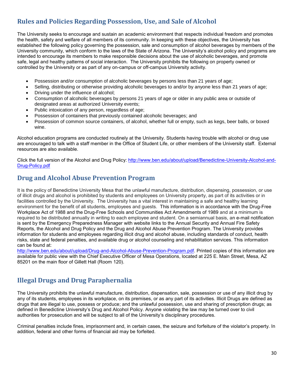# **Rules and Policies Regarding Possession, Use, and Sale of Alcohol**

The University seeks to encourage and sustain an academic environment that respects individual freedom and promotes the health, safety and welfare of all members of its community. In keeping with these objectives, the University has established the following policy governing the possession, sale and consumption of alcohol beverages by members of the University community, which conform to the laws of the State of Arizona. The University's alcohol policy and programs are intended to encourage its members to make responsible decisions about the use of alcoholic beverages, and promote safe, legal and healthy patterns of social interaction.The University prohibits the following on property owned or controlled by the University or as part of any on-campus or off-campus University activity.

- Possession and/or consumption of alcoholic beverages by persons less than 21 years of age;
- Selling, distributing or otherwise providing alcoholic beverages to and/or by anyone less than 21 years of age;
- Driving under the influence of alcohol;
- Consumption of alcoholic beverages by persons 21 years of age or older in any public area or outside of designated areas at authorized University events;
- Public intoxication of any person, regardless of age;
- Possession of containers that previously contained alcoholic beverages; and
- Possession of common source containers, of alcohol, whether full or empty, such as kegs, beer balls, or boxed wine.

Alcohol education programs are conducted routinely at the University. Students having trouble with alcohol or drug use are encouraged to talk with a staff member in the Office of Student Life, or other members of the University staff. External resources are also available.

Click the full version of the Alcohol and Drug Policy: [http://www.ben.edu/about/upload/Benedictine-University-Alcohol-and-](http://www.ben.edu/about/upload/Benedictine-University-Alcohol-and-Drug-Policy.pdf)[Drug-Policy.pdf](http://www.ben.edu/about/upload/Benedictine-University-Alcohol-and-Drug-Policy.pdf)

#### **Drug and Alcohol Abuse Prevention Program**

It is the policy of Benedictine University Mesa that the unlawful manufacture, distribution, dispensing, possession, or use of illicit drugs and alcohol is prohibited by students and employees on University property, as part of its activities or in facilities controlled by the University. The University has a vital interest in maintaining a safe and healthy learning environment for the benefit of all students, employees and guests. This information is in accordance with the Drug-Free Workplace Act of 1988 and the Drug-Free Schools and Communities Act Amendments of 1989 and at a minimum is required to be distributed annually in writing to each employee and student. On a semiannual basis, an e-mail notification is sent by the Emergency Preparedness Manager with website links to the Annual Security and Annual Fire Safety Reports, the Alcohol and Drug Policy and the Drug and Alcohol Abuse Prevention Program. The University provides information for students and employees regarding illicit drug and alcohol abuse, including standards of conduct, health risks, state and federal penalties, and available drug or alcohol counseling and rehabilitation services. This information can be found at:

[http://www.ben.edu/about/upload/Drug-and-Alcohol-Abuse-Prevention-Program.pdf.](http://www.ben.edu/about/upload/Drug-and-Alcohol-Abuse-Prevention-Program.pdf) Printed copies of this information are available for public view with the Chief Executive Officer of Mesa Operations, located at 225 E. Main Street, Mesa, AZ 85201 on the main floor of Gillett Hall (Room 120).

# **Illegal Drugs and Drug Paraphernalia**

The University prohibits the unlawful manufacture, distribution, dispensation, sale, possession or use of any illicit drug by any of its students, employees in its workplace, on its premises, or as any part of its activities. Illicit Drugs are defined as drugs that are illegal to use, possess or produce; and the unlawful possession, use and sharing of prescription drugs; as defined in Benedictine University's Drug and Alcohol Policy. Anyone violating the law may be turned over to civil authorities for prosecution and will be subject to all of the University's disciplinary procedures.

Criminal penalties include fines, imprisonment and, in certain cases, the seizure and forfeiture of the violator's property. In addition, federal and other forms of financial aid may be forfeited.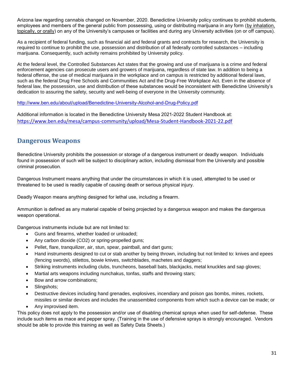Arizona law regarding cannabis changed on November, 2020. Benedictine University policy continues to prohibit students, employees and members of the general public from possessing, using or distributing marijuana in any form [\(by inhalation,](https://www.leafly.com/news/cannabis-101/the-complete-list-of-cannabis-delivery-methods)  [topically, or orally\)](https://www.leafly.com/news/cannabis-101/the-complete-list-of-cannabis-delivery-methods) on any of the University's campuses or facilities and during any University activities (on or off campus).

As a recipient of federal funding, such as financial aid and federal grants and contracts for research, the University is required to continue to prohibit the use, possession and distribution of all federally controlled substances – including marijuana. Consequently, such activity remains prohibited by University policy.

At the federal level, the Controlled Substances Act states that the growing and use of marijuana is a crime and federal enforcement agencies can prosecute users and growers of marijuana, regardless of state law. In addition to being a federal offense, the use of medical marijuana in the workplace and on campus is restricted by additional federal laws, such as the federal Drug Free Schools and Communities Act and the Drug-Free Workplace Act. Even in the absence of federal law, the possession, use and distribution of these substances would be inconsistent with Benedictine University's dedication to assuring the safety, security and well-being of everyone in the University community.

<http://www.ben.edu/about/upload/Benedictine-University-Alcohol-and-Drug-Policy.pdf>

Additional information is located in the Benedictine University Mesa 2021-2022 Student Handbook at: <https://www.ben.edu/mesa/campus-community/upload/Mesa-Student-Handbook-2021-22.pdf>

#### **Dangerous Weapons**

Benedictine University prohibits the possession or storage of a dangerous instrument or deadly weapon. Individuals found in possession of such will be subject to disciplinary action, including dismissal from the University and possible criminal prosecution.

Dangerous Instrument means anything that under the circumstances in which it is used, attempted to be used or threatened to be used is readily capable of causing death or serious physical injury.

Deadly Weapon means anything designed for lethal use, including a firearm.

Ammunition is defined as any material capable of being projected by a dangerous weapon and makes the dangerous weapon operational.

Dangerous instruments include but are not limited to:

- Guns and firearms, whether loaded or unloaded;
- Any carbon dioxide (CO2) or spring-propelled guns;
- Pellet, flare, tranquilizer, air, stun, spear, paintball, and dart guns;
- Hand instruments designed to cut or stab another by being thrown, including but not limited to: knives and epees (fencing swords), stilettos, bowie knives, switchblades, machetes and daggers;
- Striking instruments including clubs, truncheons, baseball bats, blackjacks, metal knuckles and sap gloves;
- Martial arts weapons including nunchakus, tonfas, staffs and throwing stars;
- Bow and arrow combinations;
- Slingshots;
- Destructive devices including hand grenades, explosives, incendiary and poison gas bombs, mines, rockets, missiles or similar devices and includes the unassembled components from which such a device can be made; or
- Any improvised item.

This policy does not apply to the possession and/or use of disabling chemical sprays when used for self-defense. These include such items as mace and pepper spray. (Training in the use of defensive sprays is strongly encouraged. Vendors should be able to provide this training as well as Safety Data Sheets.)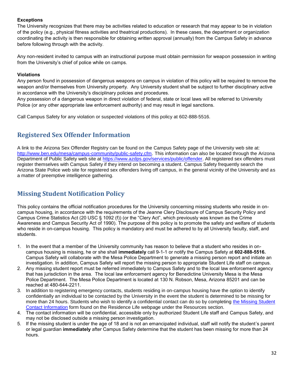#### **Exceptions**

The University recognizes that there may be activities related to education or research that may appear to be in violation of the policy (e.g., physical fitness activities and theatrical productions). In these cases, the department or organization coordinating the activity is then responsible for obtaining written approval (annually) from the Campus Safety in advance before following through with the activity.

Any non-resident invited to campus with an instructional purpose must obtain permission for weapon possession in writing from the University's chief of police while on camps.

#### **Violations**

Any person found in possession of dangerous weapons on campus in violation of this policy will be required to remove the weapon and/or themselves from University property. Any University student shall be subject to further disciplinary active in accordance with the University's disciplinary policies and procedures.

Any possession of a dangerous weapon in direct violation of federal, state or local laws will be referred to University Police (or any other appropriate law enforcement authority) and may result in legal sanctions.

Call Campus Safety for any violation or suspected violations of this policy at 602-888-5516.

#### **Registered Sex Offender Information**

A link to the Arizona Sex Offender Registry can be found on the Campus Safety page of the University web site at: [http://www.ben.edu/mesa/campus-community/public-safety.cfm.](http://www.ben.edu/mesa/campus-community/public-safety.cfm) This information can also be located through the Arizona Department of Public Safety web site at [https://www.azdps.gov/services/public/offender.](https://www.azdps.gov/services/public/offender) All registered sex offenders must register themselves with Campus Safety if they intend on becoming a student. Campus Safety frequently search the Arizona State Police web site for registered sex offenders living off campus, in the general vicinity of the University and as a matter of preemptive intelligence gathering.

# **Missing Student Notification Policy**

This policy contains the official notification procedures for the University concerning missing students who reside in oncampus housing, in accordance with the requirements of the Jeanne Clery Disclosure of Campus Security Policy and Campus Crime Statistics Act (20 USC § 1092 (f)) (or the "Clery Act", which previously was known as the Crime Awareness and Campus Security Act of 1990). The purpose of this policy is to promote the safety and welfare of students who reside in on-campus housing. This policy is mandatory and must be adhered to by all University faculty, staff, and students.

- 1. In the event that a member of the University community has reason to believe that a student who resides in oncampus housing is missing, he or she shall **immediately** call 9-1-1 or notify the Campus Safety at **602-888-5516.** Campus Safety will collaborate with the Mesa Police Department to generate a missing person report and initiate an investigation. In addition, Campus Safety will report the missing person to appropriate Student Life staff on campus.
- 2. Any missing student report must be referred immediately to Campus Safety and to the local law enforcement agency that has jurisdiction in the area. The local law enforcement agency for Benedictine University Mesa is the Mesa Police Department. The Mesa Police Department is located at 130 N. Robson, Mesa, Arizona 85201 and can be reached at 480-644-2211.
- 3. In addition to registering emergency contacts, students residing in on-campus housing have the option to identify confidentially an individual to be contacted by the University in the event the student is determined to be missing for more than 24 hours. Students who wish to identify a confidential contact can do so by completing [the Missing Student](https://benu.formstack.com/forms/missing_student_contact_information)  [Contact Information](https://benu.formstack.com/forms/missing_student_contact_information) form found on the Residence Life webpage under the Resources section.
- 4. The contact information will be confidential, accessible only by authorized Student Life staff and Campus Safety, and may not be disclosed outside a missing person investigation.
- 5. If the missing student is under the age of 18 and is not an emancipated individual, staff will notify the student's parent or legal guardian **immediately** after Campus Safety determine that the student has been missing for more than 24 hours.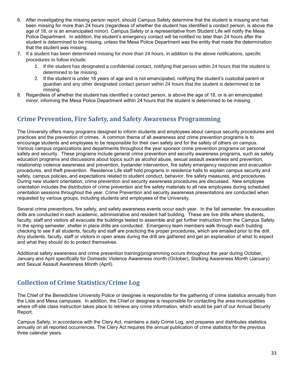- 6. After investigating the missing person report, should Campus Safety determine that the student is missing and has been missing for more than 24 hours (regardless of whether the student has identified a contact person, is above the age of 18, or is an emancipated minor). Campus Safety or a representative from Student Life will notify the Mesa Police Department. In addition, the student's emergency contact will be notified no later than 24 hours after the student is determined to be missing, unless the Mesa Police Department was the entity that made the determination that the student was missing.
- 7. If a student has been determined missing for more than 24 hours, in addition to the above notifications, specific procedures to follow include:
	- 1. If the student has designated a confidential contact, notifying that person within 24 hours that the student is determined to be missing.
	- 2. If the student is under 18 years of age and is not emancipated, notifying the student's custodial parent or guardian and any other designated contact person within 24 hours that the student is determined to be missing.
- 8. Regardless of whether the student has identified a contact person, is above the age of 18, or is an emancipated minor, informing the Mesa Police Department within 24 hours that the student is determined to be missing.

#### **Crime Prevention, Fire Safety, and Safety Awareness Programming**

The University offers many programs designed to inform students and employees about campus security procedures and practices and the prevention of crimes. A common theme of all awareness and crime prevention programs is to encourage students and employees to be responsible for their own safety and for the safety of others on campus. Various campus organizations and departments throughout the year sponsor crime prevention programs on personal safety and security. These programs include general crime prevention and security awareness programs, such as safety education programs and discussions about topics such as alcohol abuse, sexual assault awareness and prevention, relationship violence awareness and prevention, bystander intervention, fire safety emergency response and evacuation procedures, and theft prevention. Residence Life staff hold programs in residence halls to explain campus security and safety, campus policies, and expectations related to student conduct, behavior, fire safety measures, and procedures. During new student orientation, crime prevention and security awareness procedures are discussed. New employee orientation includes the distribution of crime prevention and fire safety materials to all new employees during scheduled orientation sessions throughout the year. Crime Prevention and security awareness presentations are conducted when requested by various groups, including students and employees of the University.

Several crime preventions, fire safety, and safety awareness events occur each year. In the fall semester, fire evacuation drills are conducted in each academic, administrative and resident hall building. These are live drills where students, faculty, staff and visitors all evacuate the buildings tested to assemble and get further instruction from the Campus Safety. In the spring semester, shelter in place drills are conducted. Emergency team members walk through each building checking to see if all students, faculty and staff are practicing the proper procedures, which are emailed prior to the drill. Any students, faculty, staff or visitors in open areas during the drill are gathered and get an explanation of what to expect and what they should do to protect themselves.

Additional safety awareness and crime prevention training/programming occurs throughout the year during October, January and April specifically for Domestic Violence Awareness month (October), Stalking Awareness Month (January) and Sexual Assault Awareness Month (April).

# **Collection of Crime Statistics/Crime Log**

The Chief of the Benedictine University Police or designee is responsible for the gathering of crime statistics annually from the Lisle and Mesa campuses. In addition, the Chief or designee is responsible for contacting the area municipalities where off-site class instruction takes place to retrieve any crime information, which would be part of our Annual Security Report.

Campus Safety, in accordance with the Clery Act, maintains a daily Crime Log, and prepares and distributes statistics annually on all reported occurrences. The Clery Act requires the annual publication of crime statistics for the previous three calendar years.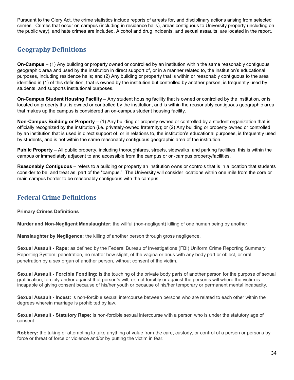Pursuant to the Clery Act, the crime statistics include reports of arrests for, and disciplinary actions arising from selected crimes. Crimes that occur on campus (including in residence halls), areas contiguous to University property (including on the public way), and hate crimes are included. Alcohol and drug incidents, and sexual assaults, are located in the report.

# **Geography Definitions**

**On-Campus** – (1) Any building or property owned or controlled by an institution within the same reasonably contiguous geographic area and used by the institution in direct support of, or in a manner related to, the institution's educational purposes, including residence halls; and (2) Any building or property that is within or reasonably contiguous to the area identified in (1) of this definition, that is owned by the institution but controlled by another person, is frequently used by students, and supports institutional purposes.

**On-Campus Student Housing Facility** – Any student housing facility that is owned or controlled by the institution, or is located on property that is owned or controlled by the institution, and is within the reasonably contiguous geographic area that makes up the campus is considered an on-campus student housing facility.

**Non-Campus Building or Property** – (1) Any building or property owned or controlled by a student organization that is officially recognized by the institution (i.e. privately-owned fraternity); or (2) Any building or property owned or controlled by an institution that is used in direct support of, or in relations to, the institution's educational purposes, is frequently used by students, and is not within the same reasonably contiguous geographic area of the institution.

**Public Property** – All public property, including thoroughfares, streets, sidewalks, and parking facilities, this is within the campus or immediately adjacent to and accessible from the campus or on-campus property/facilities.

**Reasonably Contiguous** – refers to a building or property an institution owns or controls that is in a location that students consider to be, and treat as, part of the "campus." The University will consider locations within one mile from the core or main campus border to be reasonably contiguous with the campus.

# **Federal Crime Definitions**

#### **Primary Crimes Definitions**

**Murder and Non-Negligent Manslaughter**: the willful (non-negligent) killing of one human being by another.

**Manslaughter by Negligence:** the killing of another person through gross negligence.

**Sexual Assault - Rape:** as defined by the Federal Bureau of Investigations (FBI) Uniform Crime Reporting Summary Reporting System: penetration, no matter how slight, of the vagina or anus with any body part or object, or oral penetration by a sex organ of another person, without consent of the victim.

**Sexual Assault - Forcible Fondling:** is the touching of the private body parts of another person for the purpose of sexual gratification, forcibly and/or against that person's will; or, not forcibly or against the person's will where the victim is incapable of giving consent because of his/her youth or because of his/her temporary or permanent mental incapacity.

**Sexual Assault - Incest:** is non-forcible sexual intercourse between persons who are related to each other within the degrees wherein marriage is prohibited by law.

**Sexual Assault - Statutory Rape:** is non-forcible sexual intercourse with a person who is under the statutory age of consent.

**Robbery:** the taking or attempting to take anything of value from the care, custody, or control of a person or persons by force or threat of force or violence and/or by putting the victim in fear.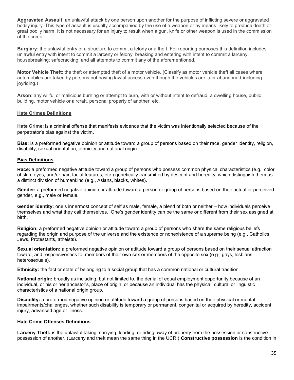**Aggravated Assault**: an unlawful attack by one person upon another for the purpose of inflicting severe or aggravated bodily injury. This type of assault is usually accompanied by the use of a weapon or by means likely to produce death or great bodily harm. It is not necessary for an injury to result when a gun, knife or other weapon is used in the commission of the crime.

**Burglary**: the unlawful entry of a structure to commit a felony or a theft. For reporting purposes this definition includes: unlawful entry with intent to commit a larceny or felony; breaking and entering with intent to commit a larceny; housebreaking; safecracking; and all attempts to commit any of the aforementioned.

**Motor Vehicle Theft**: the theft or attempted theft of a motor vehicle. (Classify as motor vehicle theft all cases where automobiles are taken by persons not having lawful access even though the vehicles are later abandoned-including joyriding.)

**Arson**: any willful or malicious burning or attempt to burn, with or without intent to defraud, a dwelling house, public building, motor vehicle or aircraft, personal property of another, etc.

#### **Hate Crimes Definitions**

**Hate Crime**: is a criminal offense that manifests evidence that the victim was intentionally selected because of the perpetrator's bias against the victim.

**Bias:** is a preformed negative opinion or attitude toward a group of persons based on their race, gender identity, religion, disability, sexual orientation, ethnicity and national origin*.*

#### **Bias Definitions**

**Race:** a preformed negative attitude toward a group of persons who possess common physical characteristics (e.g., color of skin, eyes, and/or hair; facial features, etc.) genetically transmitted by descent and heredity, which distinguish them as a distinct division of humankind (e.g., Asians, blacks, whites).

**Gender:** a preformed negative opinion or attitude toward a person or group of persons based on their actual or perceived gender, e.g., male or female.

**Gender identity:** one's innermost concept of self as male, female, a blend of both or neither – how individuals perceive themselves and what they call themselves. One's gender identity can be the same or different from their sex assigned at birth.

**Religion:** a preformed negative opinion or attitude toward a group of persons who share the same religious beliefs regarding the origin and purpose of the universe and the existence or nonexistence of a supreme being (e.g., Catholics, Jews, Protestants, atheists).

**Sexual orientation:** a preformed negative opinion or attitude toward a group of persons based on their sexual attraction toward, and responsiveness to, members of their own sex or members of the opposite sex (e.g., gays, lesbians, heterosexuals).

**Ethnicity:** the fact or state of belonging to a social group that has a common national or cultural tradition.

**National origin:** broadly as including, but not limited to, the denial of equal employment opportunity because of an individual, or his or her ancestor's, place of origin, or because an individual has the physical, cultural or linguistic characteristics of a national origin group.

**Disability:** a preformed negative opinion or attitude toward a group of persons based on their physical or mental impairments/challenges, whether such disability is temporary or permanent, congenital or acquired by heredity, accident, injury, advanced age or illness.

#### **Hate Crime Offenses Definitions**

**Larceny-Theft:** is the unlawful taking, carrying, leading, or riding away of property from the possession or constructive possession of another. (Larceny and theft mean the same thing in the UCR.) **Constructive possession** is the condition in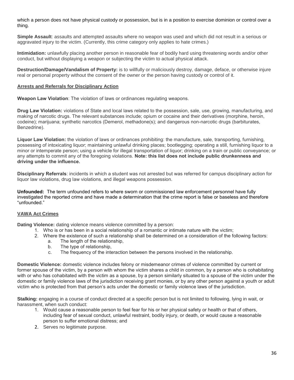which a person does not have physical custody or possession, but is in a position to exercise dominion or control over a thing.

**Simple Assault**: assaults and attempted assaults where no weapon was used and which did not result in a serious or aggravated injury to the victim. (Currently, this crime category only applies to hate crimes.)

**Intimidation:** unlawfully placing another person in reasonable fear of bodily hard using threatening words and/or other conduct, but without displaying a weapon or subjecting the victim to actual physical attack.

**Destruction/Damage/Vandalism of Property:** is to willfully or maliciously destroy, damage, deface, or otherwise injure real or personal property without the consent of the owner or the person having custody or control of it.

#### **Arrests and Referrals for Disciplinary Action**

**Weapon Law Violation**: The violation of laws or ordinances regulating weapons.

**Drug Law Violation:** violations of State and local laws related to the possession, sale, use, growing, manufacturing, and making of narcotic drugs. The relevant substances include; opium or cocaine and their derivatives (morphine, heroin, codeine); marijuana; synthetic narcotics (Demerol, methadone(s); and dangerous non-narcotic drugs (barbiturates, Benzedrine).

**Liquor Law Violation:** the violation of laws or ordinances prohibiting: the manufacture, sale, transporting, furnishing, possessing of intoxicating liquor; maintaining unlawful drinking places; bootlegging; operating a still, furnishing liquor to a minor or intemperate person; using a vehicle for illegal transportation of liquor; drinking on a train or public conveyance; or any attempts to commit any of the foregoing violations. **Note: this list does not include public drunkenness and driving under the influence.** 

**Disciplinary Referrals**: incidents in which a student was not arrested but was referred for campus disciplinary action for liquor law violations, drug law violations, and illegal weapons possession.

**Unfounded:** The term unfounded refers to where sworn or commissioned law enforcement personnel have fully investigated the reported crime and have made a determination that the crime report is false or baseless and therefore "unfounded."

#### **VAWA Act Crimes**

**Dating Violence:** dating violence means violence committed by a person:

- 1. Who is or has been in a social relationship of a romantic or intimate nature with the victim;
- 2. Where the existence of such a relationship shall be determined on a consideration of the following factors:
	- a. The length of the relationship,
	- b. The type of relationship,
	- c. The frequency of the interaction between the persons involved in the relationship.

**Domestic Violence:** domestic violence includes felony or misdemeanor crimes of violence committed by current or former spouse of the victim, by a person with whom the victim shares a child in common, by a person who is cohabitating with or who has cohabitated with the victim as a spouse, by a person similarly situated to a spouse of the victim under the domestic or family violence laws of the jurisdiction receiving grant monies, or by any other person against a youth or adult victim who is protected from that person's acts under the domestic or family violence laws of the jurisdiction.

**Stalking:** engaging in a course of conduct directed at a specific person but is not limited to following, lying in wait, or harassment, when such conduct:

- 1. Would cause a reasonable person to feel fear for his or her physical safety or health or that of others, including fear of sexual conduct, unlawful restraint, bodily injury, or death, or would cause a reasonable person to suffer emotional distress; and
- 2. Serves no legitimate purpose.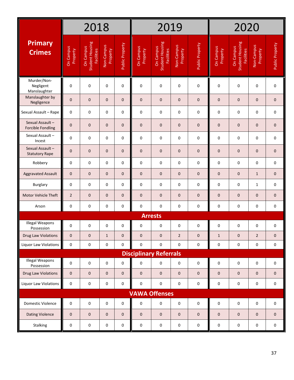|                                             |                       | 2018                                                     |                        |                 | 2020<br>2019                  |                                            |                        |                 |                       |                                                   |                        |                 |
|---------------------------------------------|-----------------------|----------------------------------------------------------|------------------------|-----------------|-------------------------------|--------------------------------------------|------------------------|-----------------|-----------------------|---------------------------------------------------|------------------------|-----------------|
| <b>Primary</b><br><b>Crimes</b>             | On Campus<br>Property | Student Housing<br><b>On Campus</b><br><b>Facilities</b> | Non-Campus<br>Property | Public Property | On Campus<br>Property         | Student Housing<br>On Campus<br>Facilities | Non-Campus<br>Property | Public Property | On Campus<br>Property | Student Housing<br>On Campus<br><b>Facilities</b> | Non-Campus<br>Property | Public Property |
| Murder/Non-<br>Negligent<br>Manslaughter    | $\mathbf 0$           | 0                                                        | 0                      | 0               | $\pmb{0}$                     | 0                                          | $\pmb{0}$              | $\pmb{0}$       | 0                     | 0                                                 | $\pmb{0}$              | 0               |
| Manslaughter by<br>Negligence               | $\mathbf 0$           | $\mathbf 0$                                              | $\mathbf 0$            | $\mathbf{0}$    | $\mathbf 0$                   | $\mathbf 0$                                | $\mathbf 0$            | $\mathbf 0$     | $\mathbf{0}$          | $\mathbf 0$                                       | 0                      | 0               |
| Sexual Assault - Rape                       | 0                     | 0                                                        | 0                      | 0               | 0                             | 0                                          | 0                      | 0               | 0                     | 0                                                 | 0                      | 0               |
| Sexual Assault-<br><b>Forcible Fondling</b> | $\pmb{0}$             | $\mathbf 0$                                              | $\mathbf 0$            | 0               | $\mathbf 0$                   | 0                                          | $\mathbf 0$            | 0               | 0                     | $\mathbf 0$                                       | 0                      | 0               |
| Sexual Assault-<br>Incest                   | $\mathbf 0$           | 0                                                        | 0                      | 0               | 0                             | 0                                          | 0                      | 0               | 0                     | 0                                                 | 0                      | 0               |
| Sexual Assault-<br><b>Statutory Rape</b>    | $\mathbf 0$           | 0                                                        | $\mathbf{0}$           | $\mathbf{0}$    | $\mathbf 0$                   | $\mathbf{0}$                               | $\mathbf{0}$           | $\mathbf 0$     | $\mathbf 0$           | $\mathbf{0}$                                      | 0                      | 0               |
| Robbery                                     | $\mathsf{O}\xspace$   | 0                                                        | 0                      | 0               | $\mathbf 0$                   | 0                                          | 0                      | 0               | 0                     | 0                                                 | 0                      | 0               |
| <b>Aggravated Assault</b>                   | $\mathbf{0}$          | $\mathbf{0}$                                             | $\mathbf{0}$           | $\mathbf{0}$    | $\mathbf 0$                   | $\mathbf{0}$                               | $\mathbf 0$            | $\mathbf 0$     | $\mathbf 0$           | $\mathbf{0}$                                      | $\mathbf{1}$           | $\mathbf{0}$    |
| Burglary                                    | 0                     | 0                                                        | 0                      | 0               | $\mathbf 0$                   | 0                                          | 0                      | 0               | 0                     | 0                                                 | $\mathbf{1}$           | 0               |
| <b>Motor Vehicle Theft</b>                  | $\overline{2}$        | $\mathbf 0$                                              | $\mathbf 0$            | 0               | $\mathbf 0$                   | $\mathbf 0$                                | $\mathbf 0$            | 0               | 0                     | $\mathbf 0$                                       | 0                      | 0               |
| Arson                                       | 0                     | 0                                                        | 0                      | 0               | $\pmb{0}$                     | 0                                          | 0                      | 0               | 0                     | 0                                                 | 0                      | 0               |
|                                             |                       |                                                          |                        |                 |                               | <b>Arrests</b>                             |                        |                 |                       |                                                   |                        |                 |
| <b>Illegal Weapons</b><br>Possession        | 0                     | 0                                                        | 0                      | 0               | 0                             | 0                                          | 0                      | 0               | 0                     | 0                                                 | 0                      | 0               |
| Drug Law Violations                         | $\pmb{0}$             | 0                                                        | $\mathbf{1}$           | 0               | $\mathbf 0$                   | $\pmb{0}$                                  | $\overline{2}$         | $\mathbf 0$     | $\mathbf{1}$          | $\pmb{0}$                                         | $\overline{2}$         | 0               |
| Liquor Law Violations                       | $\pmb{0}$             | 0                                                        | 0                      | 0               | $\pmb{0}$                     | 0                                          | 0                      | $\pmb{0}$       | 0                     | 0                                                 | 0                      | 0               |
|                                             |                       |                                                          |                        |                 | <b>Disciplinary Referrals</b> |                                            |                        |                 |                       |                                                   |                        |                 |
| Illegal Weapons<br>Possession               | $\pmb{0}$             | 0                                                        | 0                      | 0               | $\pmb{0}$                     | 0                                          | 0                      | $\mathsf 0$     | 0                     | 0                                                 | $\pmb{0}$              | 0               |
| Drug Law Violations                         | $\pmb{0}$             | $\pmb{0}$                                                | $\mathbf 0$            | $\mathbf 0$     | $\mathbf 0$                   | $\pmb{0}$                                  | $\mathbf 0$            | $\pmb{0}$       | 0                     | $\pmb{0}$                                         | 0                      | 0               |
| Liquor Law Violations                       | $\pmb{0}$             | $\pmb{0}$                                                | 0                      | 0               | 0                             | 0                                          | $\mathsf{O}\xspace$    | $\pmb{0}$       | 0                     | 0                                                 | 0                      | 0               |
|                                             |                       |                                                          |                        |                 | <b>VAWA Offenses</b>          |                                            |                        |                 |                       |                                                   |                        |                 |
| Domestic Violence                           | $\pmb{0}$             | $\pmb{0}$                                                | 0                      | 0               | $\pmb{0}$                     | 0                                          | 0                      | $\mathsf 0$     | 0                     | 0                                                 | 0                      | 0               |
| <b>Dating Violence</b>                      | $\mathsf{O}$          | 0                                                        | $\mathbf 0$            | $\mathbf{0}$    | $\mathbf 0$                   | 0                                          | $\mathbf 0$            | $\mathbf 0$     | $\mathbf 0$           | $\mathbf 0$                                       | 0                      | 0               |
| Stalking                                    | 0                     | 0                                                        | 0                      | 0               | 0                             | 0                                          | 0                      | 0               | 0                     | 0                                                 | 0                      | 0               |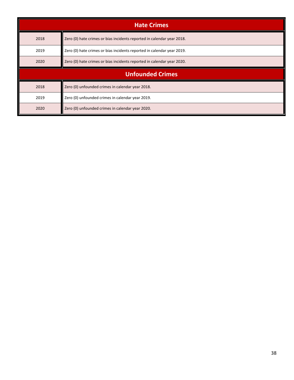|      | <b>Hate Crimes</b>                                                     |  |  |  |  |  |  |  |  |  |
|------|------------------------------------------------------------------------|--|--|--|--|--|--|--|--|--|
| 2018 | Zero (0) hate crimes or bias incidents reported in calendar year 2018. |  |  |  |  |  |  |  |  |  |
| 2019 | Zero (0) hate crimes or bias incidents reported in calendar year 2019. |  |  |  |  |  |  |  |  |  |
| 2020 | Zero (0) hate crimes or bias incidents reported in calendar year 2020. |  |  |  |  |  |  |  |  |  |
|      | <b>Unfounded Crimes</b>                                                |  |  |  |  |  |  |  |  |  |
| 2018 | Zero (0) unfounded crimes in calendar year 2018.                       |  |  |  |  |  |  |  |  |  |
| 2019 | Zero (0) unfounded crimes in calendar year 2019.                       |  |  |  |  |  |  |  |  |  |
| 2020 | Zero (0) unfounded crimes in calendar year 2020.                       |  |  |  |  |  |  |  |  |  |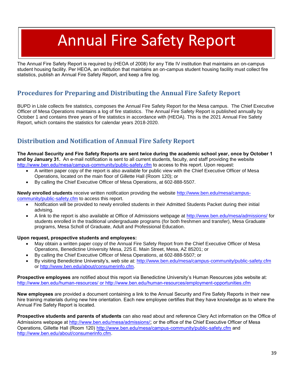# Annual Fire Safety Report

The Annual Fire Safety Report is required by (HEOA of 2008) for any Title IV institution that maintains an on-campus student housing facility. Per HEOA, an institution that maintains an on-campus student housing facility must collect fire statistics, publish an Annual Fire Safety Report, and keep a fire log.

# **Procedures for Preparing and Distributing the Annual Fire Safety Report**

BUPD in Lisle collects fire statistics, composes the Annual Fire Safety Report for the Mesa campus. The Chief Executive Officer of Mesa Operations maintains a log of fire statistics. The Annual Fire Safety Report is published annually by October 1 and contains three years of fire statistics in accordance with (HEOA). This is the 2021 Annual Fire Safety Report, which contains the statistics for calendar years 2018-2020.

# **Distribution and Notification of Annual Fire Safety Report**

**The Annual Security and Fire Safety Reports are sent twice during the academic school year, once by October 1 and by January 31.** An e-mail notification is sent to all current students, faculty, and staff providing the website <http://www.ben.edu/mesa/campus-community/public-safety.cfm> to access to this report. Upon request:

- A written paper copy of the report is also available for public view with the Chief Executive Officer of Mesa Operations, located on the main floor of Gillette Hall (Room 120); or
- By calling the Chief Executive Officer of Mesa Operations, at 602-888-5507.

**Newly enrolled students** receive written notification providing the website [http://www.ben.edu/mesa/campus](http://www.ben.edu/mesa/campus-community/public-safety.cfm)[community/public-safety.cfm](http://www.ben.edu/mesa/campus-community/public-safety.cfm) to access this report.

- Notification will be provided to newly enrolled students in their Admitted Students Packet during their initial advising.
- A link to the report is also available at Office of Admissions webpage at<http://www.ben.edu/mesa/admissions/> for students enrolled in the traditional undergraduate programs (for both freshmen and transfer), Mesa Graduate programs, Mesa Scholl of Graduate, Adult and Professional Education.

#### **Upon request, prospective students and employees:**

- May obtain a written paper copy of the Annual Fire Safety Report from the Chief Executive Officer of Mesa Operations, Benedictine University Mesa, 225 E. Main Street, Mesa, AZ 85201; or
- By calling the Chief Executive Officer of Mesa Operations, at 602-888-5507; or
- By visiting Benedictine University's, web site at:<http://www.ben.edu/mesa/campus-community/public-safety.cfm> or [http://www.ben.edu/about/consumerinfo.cfm.](http://www.ben.edu/about/consumerinfo.cfm)

**Prospective employees** are notified about this report via Benedictine University's Human Resources jobs website at: <http://www.ben.edu/human-resources/> or <http://www.ben.edu/human-resources/employment-opportunities.cfm>

**New employees** are provided a document containing a link to the Annual Security and Fire Safety Reports in their new hire training materials during new hire orientation. Each new employee certifies that they have knowledge as to where the Annual Fire Safety Report is located.

**Prospective students and parents of students** can also read about and reference Clery Act information on the Office of Admissions webpage at<http://www.ben.edu/mesa/admissions/>; or the office of the Chief Executive Officer of Mesa Operations, Gillette Hall (Room 120) <http://www.ben.edu/mesa/campus-community/public-safety.cfm> and [http://www.ben.edu/about/consumerinfo.cfm.](http://www.ben.edu/about/consumerinfo.cfm)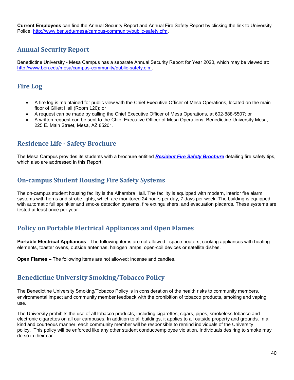**Current Employees** can find the Annual Security Report and Annual Fire Safety Report by clicking the link to University Police: [http://www.ben.edu/mesa/campus-community/public-safety.cfm.](http://www.ben.edu/mesa/campus-community/public-safety.cfm)

# **Annual Security Report**

Benedictine University - Mesa Campus has a separate Annual Security Report for Year 2020, which may be viewed at: [http://www.ben.edu/mesa/campus-community/public-safety.cfm.](http://www.ben.edu/mesa/campus-community/public-safety.cfm)

#### **Fire Log**

- A fire log is maintained for public view with the Chief Executive Officer of Mesa Operations, located on the main floor of Gillett Hall (Room 120); or
- A request can be made by calling the Chief Executive Officer of Mesa Operations, at 602-888-5507; or
- A written request can be sent to the Chief Executive Officer of Mesa Operations, Benedictine University Mesa, 225 E. Main Street, Mesa, AZ 85201.

#### **Residence Life - Safety Brochure**

The Mesa Campus provides its students with a brochure entitled *Resident [Fire Safety Brochure](http://www.ben.edu/emergency-preparedness/upload/Mesa_ResLifeSafety_2018.pdf)* detailing fire safety tips, which also are addressed in this Report.

#### **On-campus Student Housing Fire Safety Systems**

The on-campus student housing facility is the Alhambra Hall. The facility is equipped with modern, interior fire alarm systems with horns and strobe lights, which are monitored 24 hours per day, 7 days per week. The building is equipped with automatic full sprinkler and smoke detection systems, fire extinguishers, and evacuation placards. These systems are tested at least once per year.

#### **Policy on Portable Electrical Appliances and Open Flames**

**Portable Electrical Appliances** - The following items are not allowed:space heaters, cooking appliances with heating elements, toaster ovens, outside antennas, halogen lamps, open-coil devices or satellite dishes.

**Open Flames –** The following items are not allowed: incense and candles.

#### **Benedictine University Smoking/Tobacco Policy**

The Benedictine University Smoking/Tobacco Policy is in consideration of the health risks to community members, environmental impact and community member feedback with the prohibition of tobacco products, smoking and vaping use.

The University prohibits the use of all tobacco products, including cigarettes, cigars, pipes, smokeless tobacco and electronic cigarettes on all our campuses. In addition to all buildings, it applies to all outside property and grounds. In a kind and courteous manner, each community member will be responsible to remind individuals of the University policy. This policy will be enforced like any other student conduct/employee violation. Individuals desiring to smoke may do so in their car.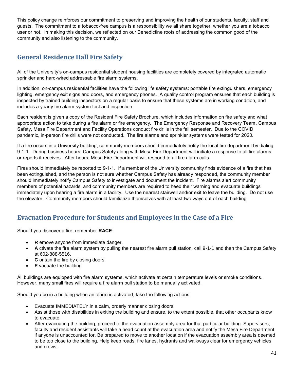This policy change reinforces our commitment to preserving and improving the health of our students, faculty, staff and guests. The commitment to a tobacco-free campus is a responsibility we all share together, whether you are a tobacco user or not. In making this decision, we reflected on our Benedictine roots of addressing the common good of the community and also listening to the community.

# **General Residence Hall Fire Safety**

All of the University's on-campus residential student housing facilities are completely covered by integrated automatic sprinkler and hard-wired addressable fire alarm systems.

In addition, on-campus residential facilities have the following life safety systems: portable fire extinguishers, emergency lighting, emergency exit signs and doors, and emergency phones. A quality control program ensures that each building is inspected by trained building inspectors on a regular basis to ensure that these systems are in working condition, and includes a yearly fire alarm system test and inspection.

Each resident is given a copy of the Resident Fire Safety Brochure, which includes information on fire safety and what appropriate action to take during a fire alarm or fire emergency. The Emergency Response and Recovery Team, Campus Safety, Mesa Fire Department and Facility Operations conduct fire drills in the fall semester. Due to the COVID pandemic, in-person fire drills were not conducted. The fire alarms and sprinkler systems were tested for 2020.

If a fire occurs in a University building, community members should immediately notify the local fire department by dialing 9-1-1. During business hours, Campus Safety along with Mesa Fire Department will initiate a response to all fire alarms or reports it receives. After hours, Mesa Fire Department will respond to all fire alarm calls.

Fires should immediately be reported to 9-1-1. If a member of the University community finds evidence of a fire that has been extinguished, and the person is not sure whether Campus Safety has already responded, the community member should immediately notify Campus Safety to investigate and document the incident. Fire alarms alert community members of potential hazards, and community members are required to heed their warning and evacuate buildings immediately upon hearing a fire alarm in a facility. Use the nearest stairwell and/or exit to leave the building. Do not use the elevator. Community members should familiarize themselves with at least two ways out of each building.

# **Evacuation Procedure for Students and Employees in the Case of a Fire**

Should you discover a fire, remember **RACE**:

- **R** emove anyone from immediate danger.
- **A** ctivate the fire alarm system by pulling the nearest fire alarm pull station, call 9-1-1 and then the Campus Safety at 602-888-5516.
- **C** ontain the fire by closing doors.
- **E** vacuate the building.

All buildings are equipped with fire alarm systems, which activate at certain temperature levels or smoke conditions. However, many small fires will require a fire alarm pull station to be manually activated.

Should you be in a building when an alarm is activated, take the following actions:

- Evacuate IMMEDIATELY in a calm, orderly manner closing doors.
- Assist those with disabilities in exiting the building and ensure, to the extent possible, that other occupants know to evacuate.
- After evacuating the building, proceed to the evacuation assembly area for that particular building. Supervisors, faculty and resident assistants will take a head count at the evacuation area and notify the Mesa Fire Department if anyone is unaccounted for. Be prepared to move to another location if the evacuation assembly area is deemed to be too close to the building. Help keep roads, fire lanes, hydrants and walkways clear for emergency vehicles and crews.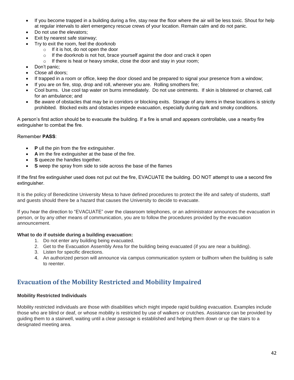- If you become trapped in a building during a fire, stay near the floor where the air will be less toxic. Shout for help at regular intervals to alert emergency rescue crews of your location. Remain calm and do not panic.
- Do not use the elevators;
- Exit by nearest safe stairway:
- Try to exit the room, feel the doorknob
	- $\circ$  If it is hot, do not open the door
	- $\circ$  If the doorknob is not hot, brace yourself against the door and crack it open
	- o If there is heat or heavy smoke, close the door and stay in your room;
- Don't panic;
- Close all doors;
- If trapped in a room or office, keep the door closed and be prepared to signal your presence from a window;
- If you are on fire, stop, drop and roll, wherever you are. Rolling smothers fire;
- Cool burns. Use cool tap water on burns immediately. Do not use ointments. If skin is blistered or charred, call for an ambulance; and
- Be aware of obstacles that may be in corridors or blocking exits. Storage of any items in these locations is strictly prohibited. Blocked exits and obstacles impede evacuation, especially during dark and smoky conditions.

A person's first action should be to evacuate the building. If a fire is small and appears controllable, use a nearby fire extinguisher to combat the fire.

#### Remember **PASS**:

- **P** ull the pin from the fire extinguisher.
- **A** im the fire extinguisher at the base of the fire.
- **S** queeze the handles together.
- **S** weep the spray from side to side across the base of the flames

If the first fire extinguisher used does not put out the fire, EVACUATE the building. DO NOT attempt to use a second fire extinguisher.

It is the policy of Benedictine University Mesa to have defined procedures to protect the life and safety of students, staff and guests should there be a hazard that causes the University to decide to evacuate.

If you hear the direction to "EVACUATE" over the classroom telephones, or an administrator announces the evacuation in person, or by any other means of communication, you are to follow the procedures provided by the evacuation announcement.

#### **What to do if outside during a building evacuation:**

- 1. Do not enter any building being evacuated.
- 2. Get to the Evacuation Assembly Area for the building being evacuated (if you are near a building).
- 3. Listen for specific directions.
- 4. An authorized person will announce via campus communication system or bullhorn when the building is safe to reenter.

#### **Evacuation of the Mobility Restricted and Mobility Impaired**

#### **Mobility Restricted Individuals**

Mobility restricted individuals are those with disabilities which might impede rapid building evacuation. Examples include those who are blind or deaf, or whose mobility is restricted by use of walkers or crutches. Assistance can be provided by guiding them to a stairwell, waiting until a clear passage is established and helping them down or up the stairs to a designated meeting area.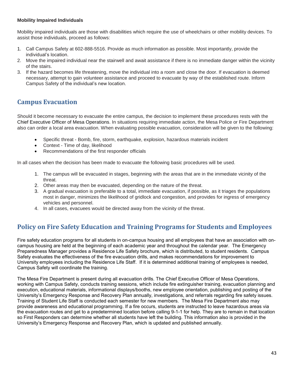#### **Mobility Impaired Individuals**

Mobility impaired individuals are those with disabilities which require the use of wheelchairs or other mobility devices. To assist those individuals, proceed as follows:

- 1. Call Campus Safety at 602-888-5516. Provide as much information as possible. Most importantly, provide the individual's location.
- 2. Move the impaired individual near the stairwell and await assistance if there is no immediate danger within the vicinity of the stairs.
- 3. If the hazard becomes life threatening, move the individual into a room and close the door. If evacuation is deemed necessary, attempt to gain volunteer assistance and proceed to evacuate by way of the established route. Inform Campus Safety of the individual's new location.

# **Campus Evacuation**

Should it become necessary to evacuate the entire campus, the decision to implement these procedures rests with the Chief Executive Officer of Mesa Operations. In situations requiring immediate action, the Mesa Police or Fire Department also can order a local area evacuation. When evaluating possible evacuation, consideration will be given to the following:

- Specific threat Bomb, fire, storm, earthquake, explosion, hazardous materials incident
- Context Time of day, likelihood
- Recommendations of the first responder officials

In all cases when the decision has been made to evacuate the following basic procedures will be used.

- 1. The campus will be evacuated in stages, beginning with the areas that are in the immediate vicinity of the threat.
- 2. Other areas may then be evacuated, depending on the nature of the threat.
- 3. A gradual evacuation is preferable to a total, immediate evacuation, if possible, as it triages the populations most in danger, minimizes the likelihood of gridlock and congestion, and provides for ingress of emergency vehicles and personnel.
- 4. In all cases, evacuees would be directed away from the vicinity of the threat.

#### **Policy on Fire Safety Education and Training Programs for Students and Employees**

Fire safety education programs for all students in on-campus housing and all employees that have an association with oncampus housing are held at the beginning of each academic year and throughout the calendar year. The Emergency Preparedness Manager provides a Residence Life Safety brochure, which is distributed, to student residents. Campus Safety evaluates the effectiveness of the fire evacuation drills, and makes recommendations for improvement to University employees including the Residence Life Staff. If it is determined additional training of employees is needed, Campus Safety will coordinate the training.

The Mesa Fire Department is present during all evacuation drills. The Chief Executive Officer of Mesa Operations, working with Campus Safety, conducts training sessions, which include fire extinguisher training, evacuation planning and execution, educational materials, informational displays/booths, new employee orientation, publishing and posting of the University's Emergency Response and Recovery Plan annually, investigations, and referrals regarding fire safety issues. Training of Student Life Staff is conducted each semester for new members. The Mesa Fire Department also may provide awareness and educational programming. If a fire occurs, students are instructed to leave hazardous areas via the evacuation routes and get to a predetermined location before calling 9-1-1 for help. They are to remain in that location so First Responders can determine whether all students have left the building. This information also is provided in the University's Emergency Response and Recovery Plan, which is updated and published annually.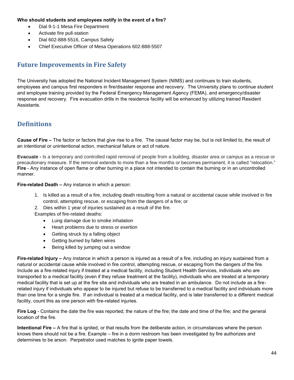#### **Who should students and employees notify in the event of a fire?**

- Dial 9-1-1 Mesa Fire Department
- Activate fire pull-station
- Dial 602-888-5516, Campus Safety
- Chief Executive Officer of Mesa Operations 602-888-5507

#### **Future Improvements in Fire Safety**

The University has adopted the National Incident Management System (NIMS) and continues to train students, employees and campus first responders in fire/disaster response and recovery. The University plans to continue student and employee training provided by the Federal Emergency Management Agency (FEMA), and emergency/disaster response and recovery. Fire evacuation drills in the residence facility will be enhanced by utilizing trained Resident Assistants.

#### **Definitions**

**Cause of Fire –** The factor or factors that give rise to a fire. The causal factor may be, but is not limited to, the result of an intentional or unintentional action, mechanical failure or act of nature.

**Evacuate -** Is a temporary and controlled rapid removal of people from a building, disaster area or campus as a rescue or precautionary measure. If the removal extends to more than a few months or becomes permanent, it is called "relocation." **Fire** - Any instance of open flame or other burning in a place not intended to contain the burning or in an uncontrolled manner.

**Fire-related Death –** Any instance in which a person:

- 1. Is killed as a result of a fire, including death resulting from a natural or accidental cause while involved in fire control, attempting rescue, or escaping from the dangers of a fire; or
- 2. Dies within 1 year of injuries sustained as a result of the fire.

Examples of fire-related deaths:

- Lung damage due to smoke inhalation
- Heart problems due to stress or exertion
- Getting struck by a falling object
- Getting burned by fallen wires
- Being killed by jumping out a window

**Fire-related Injury –** Any instance in which a person is injured as a result of a fire, including an injury sustained from a natural or accidental cause while involved in fire control, attempting rescue, or escaping from the dangers of the fire. Include as a fire-related injury if treated at a medical facility, including Student Health Services, individuals who are transported to a medical facility (even if they refuse treatment at the facility), individuals who are treated at a temporary medical facility that is set up at the fire site and individuals who are treated in an ambulance. Do not include as a firerelated injury if individuals who appear to be injured but refuse to be transferred to a medical facility and individuals more than one time for a single fire. If an individual is treated at a medical facility, and is later transferred to a different medical facility, count this as one person with fire-related injuries.

**Fire Log** - Contains the date the fire was reported; the nature of the fire; the date and time of the fire; and the general location of the fire.

**Intentional Fire –** A fire that is ignited, or that results from the deliberate action, in circumstances where the person knows there should not be a fire. Example – fire in a dorm restroom has been investigated by fire authorizes and determines to be arson. Perpetrator used matches to ignite paper towels.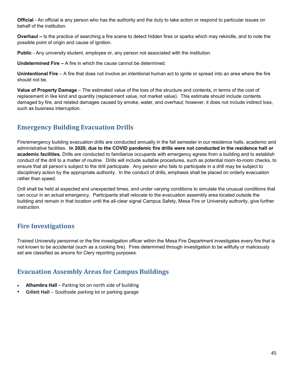**Official** - An official is any person who has the authority and the duty to take action or respond to particular issues on behalf of the institution.

**Overhaul –** Is the practice of searching a fire scene to detect hidden fires or sparks which may rekindle, and to note the possible point of origin and cause of ignition.

**Public** - Any university student, employee or, any person not associated with the institution.

**Undetermined Fire –** A fire in which the cause cannot be determined.

**Unintentional Fire** – A fire that does not involve an intentional human act to ignite or spread into an area where the fire should not be.

**Value of Property Damage** – The estimated value of the loss of the structure and contents, in terms of the cost of replacement in like kind and quantity (replacement value, not market value). This estimate should include contents damaged by fire, and related damages caused by smoke, water, and overhaul; however, it does not include indirect loss, such as business interruption.

# **Emergency Building Evacuation Drills**

Fire/emergency building evacuation drills are conducted annually in the fall semester in our residence halls, academic and administrative facilities. **In 2020, due to the COVID pandemic fire drills were not conducted in the residence hall or academic facilities.** Drills are conducted to familiarize occupants with emergency egress from a building and to establish conduct of the drill to a matter of routine. Drills will include suitable procedures, such as potential room-to-room checks, to ensure that all person's subject to the drill participate. Any person who fails to participate in a drill may be subject to disciplinary action by the appropriate authority. In the conduct of drills, emphasis shall be placed on orderly evacuation rather than speed.

Drill shall be held at expected and unexpected times, and under varying conditions to simulate the unusual conditions that can occur in an actual emergency. Participants shall relocate to the evacuation assembly area located outside the building and remain in that location until the all-clear signal Campus Safety, Mesa Fire or University authority, give further instruction.

# **Fire Investigations**

Trained University personnel or the fire investigation officer within the Mesa Fire Department investigates every fire that is not known to be accidental (such as a cooking fire). Fires determined through investigation to be willfully or maliciously set are classified as arsons for Clery reporting purposes.

#### **Evacuation Assembly Areas for Campus Buildings**

- **Alhambra Hall**  Parking lot on north side of building
- **Gillett Hall**  Southside parking lot or parking garage